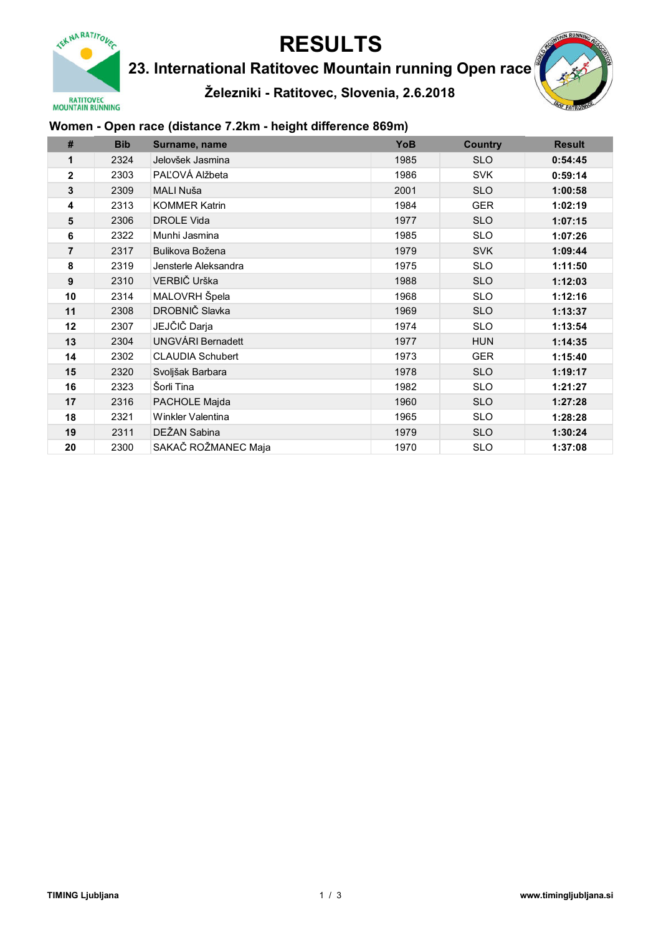

23. International Ratitovec Mountain running Open race

Železniki - Ratitovec, Slovenia, 2.6.2018



### Women - Open race (distance 7.2km - height difference 869m)

| #              | <b>Bib</b> | Surname, name            | YoB  | <b>Country</b> | <b>Result</b> |
|----------------|------------|--------------------------|------|----------------|---------------|
| 1              | 2324       | Jelovšek Jasmina         | 1985 | <b>SLO</b>     | 0:54:45       |
| $\overline{2}$ | 2303       | PAĽOVÁ Alžbeta           | 1986 | <b>SVK</b>     | 0:59:14       |
| 3              | 2309       | MALI Nuša                | 2001 | <b>SLO</b>     | 1:00:58       |
| 4              | 2313       | <b>KOMMER Katrin</b>     | 1984 | <b>GER</b>     | 1:02:19       |
| 5              | 2306       | <b>DROLE Vida</b>        | 1977 | <b>SLO</b>     | 1:07:15       |
| 6              | 2322       | Munhi Jasmina            | 1985 | <b>SLO</b>     | 1:07:26       |
| 7              | 2317       | Bulikova Božena          | 1979 | <b>SVK</b>     | 1:09:44       |
| 8              | 2319       | Jensterle Aleksandra     | 1975 | <b>SLO</b>     | 1:11:50       |
| 9              | 2310       | VERBIČ Urška             | 1988 | <b>SLO</b>     | 1:12:03       |
| 10             | 2314       | MALOVRH Špela            | 1968 | <b>SLO</b>     | 1:12:16       |
| 11             | 2308       | DROBNIČ Slavka           | 1969 | <b>SLO</b>     | 1:13:37       |
| 12             | 2307       | JEJČIČ Darja             | 1974 | <b>SLO</b>     | 1:13:54       |
| 13             | 2304       | <b>UNGVÁRI Bernadett</b> | 1977 | <b>HUN</b>     | 1:14:35       |
| 14             | 2302       | <b>CLAUDIA Schubert</b>  | 1973 | <b>GER</b>     | 1:15:40       |
| 15             | 2320       | Svoljšak Barbara         | 1978 | <b>SLO</b>     | 1:19:17       |
| 16             | 2323       | Šorli Tina               | 1982 | <b>SLO</b>     | 1:21:27       |
| 17             | 2316       | PACHOLE Majda            | 1960 | <b>SLO</b>     | 1:27:28       |
| 18             | 2321       | Winkler Valentina        | 1965 | <b>SLO</b>     | 1:28:28       |
| 19             | 2311       | DEŽAN Sabina             | 1979 | <b>SLO</b>     | 1:30:24       |
| 20             | 2300       | SAKAČ ROŽMANEC Maja      | 1970 | <b>SLO</b>     | 1:37:08       |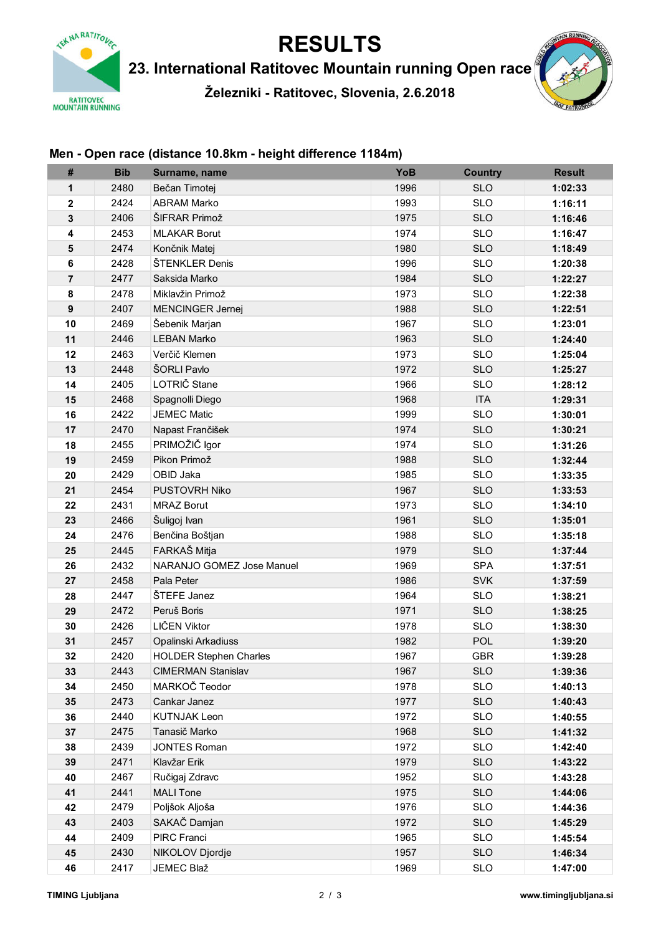

23. International Ratitovec Mountain running Open race

Železniki - Ratitovec, Slovenia, 2.6.2018



### Men - Open race (distance 10.8km - height difference 1184m)

| #                | <b>Bib</b> | Surname, name                 | YoB  | <b>Country</b> | <b>Result</b> |
|------------------|------------|-------------------------------|------|----------------|---------------|
| 1                | 2480       | Bečan Timotej                 | 1996 | <b>SLO</b>     | 1:02:33       |
| $\mathbf 2$      | 2424       | <b>ABRAM Marko</b>            | 1993 | <b>SLO</b>     | 1:16:11       |
| 3                | 2406       | ŠIFRAR Primož                 | 1975 | <b>SLO</b>     | 1:16:46       |
| 4                | 2453       | <b>MLAKAR Borut</b>           | 1974 | <b>SLO</b>     | 1:16:47       |
| 5                | 2474       | Končnik Matej                 | 1980 | <b>SLO</b>     | 1:18:49       |
| $\bf 6$          | 2428       | ŠTENKLER Denis                | 1996 | <b>SLO</b>     | 1:20:38       |
| $\overline{7}$   | 2477       | Saksida Marko                 | 1984 | <b>SLO</b>     | 1:22:27       |
| 8                | 2478       | Miklavžin Primož              | 1973 | <b>SLO</b>     | 1:22:38       |
| $\boldsymbol{9}$ | 2407       | <b>MENCINGER Jernej</b>       | 1988 | <b>SLO</b>     | 1:22:51       |
| 10               | 2469       | Šebenik Marjan                | 1967 | <b>SLO</b>     | 1:23:01       |
| 11               | 2446       | <b>LEBAN Marko</b>            | 1963 | <b>SLO</b>     | 1:24:40       |
| 12               | 2463       | Verčič Klemen                 | 1973 | <b>SLO</b>     | 1:25:04       |
| 13               | 2448       | ŠORLI Pavlo                   | 1972 | <b>SLO</b>     | 1:25:27       |
| 14               | 2405       | LOTRIČ Stane                  | 1966 | <b>SLO</b>     | 1:28:12       |
| 15               | 2468       | Spagnolli Diego               | 1968 | <b>ITA</b>     | 1:29:31       |
| 16               | 2422       | <b>JEMEC Matic</b>            | 1999 | <b>SLO</b>     | 1:30:01       |
| 17               | 2470       | Napast Frančišek              | 1974 | <b>SLO</b>     | 1:30:21       |
| 18               | 2455       | PRIMOŽIČ Igor                 | 1974 | <b>SLO</b>     | 1:31:26       |
| 19               | 2459       | Pikon Primož                  | 1988 | <b>SLO</b>     | 1:32:44       |
| 20               | 2429       | OBID Jaka                     | 1985 | <b>SLO</b>     | 1:33:35       |
| 21               | 2454       | PUSTOVRH Niko                 | 1967 | <b>SLO</b>     | 1:33:53       |
| 22               | 2431       | <b>MRAZ Borut</b>             | 1973 | <b>SLO</b>     | 1:34:10       |
| 23               | 2466       | Šuligoj Ivan                  | 1961 | <b>SLO</b>     | 1:35:01       |
| 24               | 2476       | Benčina Boštjan               | 1988 | <b>SLO</b>     | 1:35:18       |
| 25               | 2445       | FARKAŠ Mitja                  | 1979 | <b>SLO</b>     | 1:37:44       |
| 26               | 2432       | NARANJO GOMEZ Jose Manuel     | 1969 | <b>SPA</b>     | 1:37:51       |
| 27               | 2458       | Pala Peter                    | 1986 | <b>SVK</b>     | 1:37:59       |
| 28               | 2447       | ŠTEFE Janez                   | 1964 | <b>SLO</b>     | 1:38:21       |
| 29               | 2472       | Peruš Boris                   | 1971 | <b>SLO</b>     | 1:38:25       |
| 30               | 2426       | LIČEN Viktor                  | 1978 | <b>SLO</b>     | 1:38:30       |
| 31               | 2457       | Opalinski Arkadiuss           | 1982 | <b>POL</b>     | 1:39:20       |
| 32               | 2420       | <b>HOLDER Stephen Charles</b> | 1967 | <b>GBR</b>     | 1:39:28       |
| 33               | 2443       | <b>CIMERMAN Stanislav</b>     | 1967 | <b>SLO</b>     | 1:39:36       |
| 34               | 2450       | MARKOČ Teodor                 | 1978 | <b>SLO</b>     | 1:40:13       |
| 35               | 2473       | Cankar Janez                  | 1977 | <b>SLO</b>     | 1:40:43       |
| 36               | 2440       | <b>KUTNJAK Leon</b>           | 1972 | <b>SLO</b>     | 1:40:55       |
| 37               | 2475       | Tanasič Marko                 | 1968 | <b>SLO</b>     | 1:41:32       |
| 38               | 2439       | <b>JONTES Roman</b>           | 1972 | <b>SLO</b>     | 1:42:40       |
| 39               | 2471       | Klavžar Erik                  | 1979 | <b>SLO</b>     | 1:43:22       |
| 40               | 2467       | Ručigaj Zdravc                | 1952 | <b>SLO</b>     | 1:43:28       |
| 41               | 2441       | <b>MALI</b> Tone              | 1975 | <b>SLO</b>     | 1:44:06       |
| 42               | 2479       | Poljšok Aljoša                | 1976 | <b>SLO</b>     | 1:44:36       |
| 43               | 2403       | SAKAČ Damjan                  | 1972 | <b>SLO</b>     | 1:45:29       |
| 44               | 2409       | PIRC Franci                   | 1965 | <b>SLO</b>     | 1:45:54       |
| 45               | 2430       | NIKOLOV Djordje               | 1957 | <b>SLO</b>     | 1:46:34       |
| 46               | 2417       | JEMEC Blaž                    | 1969 | <b>SLO</b>     | 1:47:00       |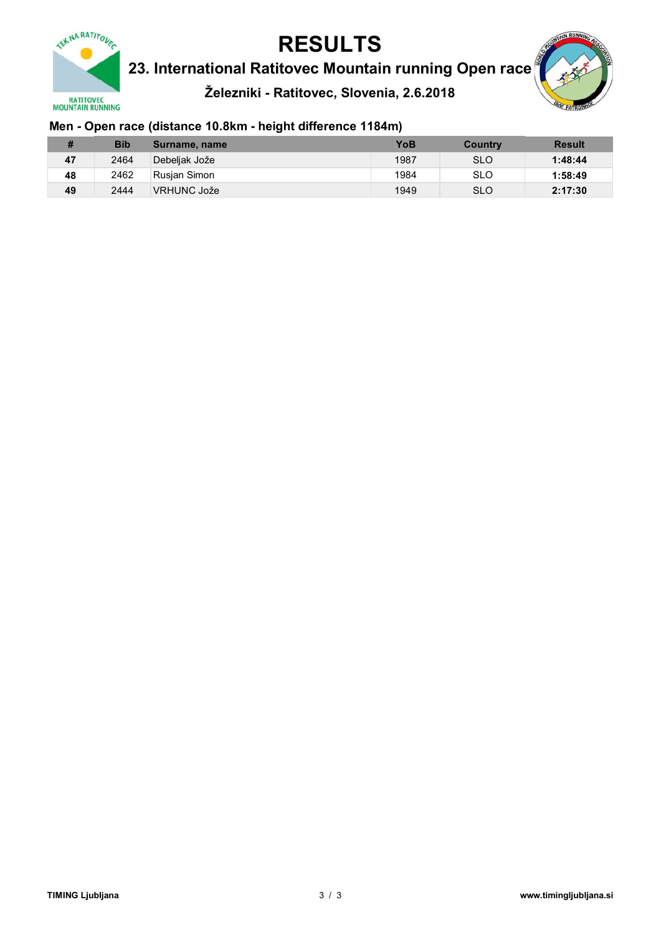

23. International Ratitovec Mountain running Open race

Železniki - Ratitovec, Slovenia, 2.6.2018



### Men - Open race (distance 10.8km - height difference 1184m)

| n<br>,,, | <b>Bib</b> | Surname, name | YoB  | Country    | <b>Result</b> |
|----------|------------|---------------|------|------------|---------------|
| 47       | 2464       | Debeliak Jože | 1987 | <b>SLO</b> | 1:48:44       |
| 48       | 2462       | Rusian Simon  | 1984 | <b>SLO</b> | 1:58:49       |
| 49       | 2444       | VRHUNC Jože   | 1949 | <b>SLO</b> | 2:17:30       |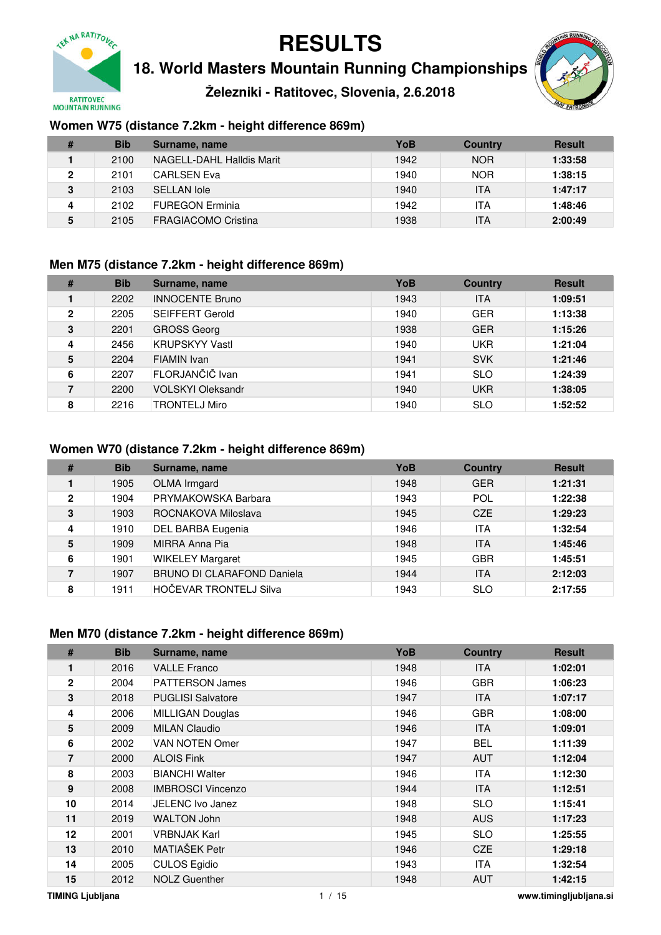

**18. World Masters Mountain Running Championships**

**Železniki - Ratitovec, Slovenia, 2.6.2018**



### **Women W75 (distance 7.2km - height difference 869m)**

| # | <b>Bib</b> | Surname, name             | YoB  | <b>Country</b> | <b>Result</b> |
|---|------------|---------------------------|------|----------------|---------------|
|   | 2100       | NAGELL-DAHL Halldis Marit | 1942 | <b>NOR</b>     | 1:33:58       |
| 2 | 2101       | CARLSEN Eva               | 1940 | <b>NOR</b>     | 1:38:15       |
| 3 | 2103       | <b>SELLAN lole</b>        | 1940 | ITA            | 1:47:17       |
|   | 2102       | <b>FUREGON Erminia</b>    | 1942 | ITA            | 1:48:46       |
| 5 | 2105       | FRAGIACOMO Cristina       | 1938 | ITA            | 2:00:49       |

#### **Men M75 (distance 7.2km - height difference 869m)**

| #            | <b>Bib</b> | Surname, name            | YoB  | <b>Country</b> | <b>Result</b> |
|--------------|------------|--------------------------|------|----------------|---------------|
|              | 2202       | <b>INNOCENTE Bruno</b>   | 1943 | <b>ITA</b>     | 1:09:51       |
| $\mathbf{2}$ | 2205       | <b>SEIFFERT Gerold</b>   | 1940 | <b>GER</b>     | 1:13:38       |
| 3            | 2201       | <b>GROSS Georg</b>       | 1938 | <b>GER</b>     | 1:15:26       |
| 4            | 2456       | <b>KRUPSKYY Vastl</b>    | 1940 | <b>UKR</b>     | 1:21:04       |
| 5            | 2204       | FIAMIN Ivan              | 1941 | <b>SVK</b>     | 1:21:46       |
| 6            | 2207       | FLORJANČIČ Ivan          | 1941 | <b>SLO</b>     | 1:24:39       |
| 7            | 2200       | <b>VOLSKYI Oleksandr</b> | 1940 | <b>UKR</b>     | 1:38:05       |
| 8            | 2216       | <b>TRONTELJ Miro</b>     | 1940 | <b>SLO</b>     | 1:52:52       |

#### **Women W70 (distance 7.2km - height difference 869m)**

| #            | <b>Bib</b> | Surname, name                     | YoB  | <b>Country</b> | <b>Result</b> |
|--------------|------------|-----------------------------------|------|----------------|---------------|
|              | 1905       | OLMA Irmgard                      | 1948 | <b>GER</b>     | 1:21:31       |
| $\mathbf{2}$ | 1904       | PRYMAKOWSKA Barbara               | 1943 | POL            | 1:22:38       |
| 3            | 1903       | ROCNAKOVA Miloslava               | 1945 | CZE            | 1:29:23       |
| 4            | 1910       | <b>DEL BARBA Eugenia</b>          | 1946 | <b>ITA</b>     | 1:32:54       |
| 5            | 1909       | MIRRA Anna Pia                    | 1948 | <b>ITA</b>     | 1:45:46       |
| 6            | 1901       | <b>WIKELEY Margaret</b>           | 1945 | <b>GBR</b>     | 1:45:51       |
| 7            | 1907       | <b>BRUNO DI CLARAFOND Daniela</b> | 1944 | <b>ITA</b>     | 2:12:03       |
| 8            | 1911       | <b>HOČEVAR TRONTELJ Silva</b>     | 1943 | <b>SLO</b>     | 2:17:55       |

#### **Men M70 (distance 7.2km - height difference 869m)**

| #            | <b>Bib</b> | Surname, name            | <b>YoB</b> | <b>Country</b> | <b>Result</b> |
|--------------|------------|--------------------------|------------|----------------|---------------|
| 1            | 2016       | <b>VALLE Franco</b>      | 1948       | <b>ITA</b>     | 1:02:01       |
| $\mathbf{2}$ | 2004       | <b>PATTERSON James</b>   | 1946       | <b>GBR</b>     | 1:06:23       |
| 3            | 2018       | <b>PUGLISI Salvatore</b> | 1947       | ITA.           | 1:07:17       |
| 4            | 2006       | <b>MILLIGAN Douglas</b>  | 1946       | <b>GBR</b>     | 1:08:00       |
| 5            | 2009       | <b>MILAN Claudio</b>     | 1946       | <b>ITA</b>     | 1:09:01       |
| 6            | 2002       | VAN NOTEN Omer           | 1947       | <b>BEL</b>     | 1:11:39       |
| 7            | 2000       | <b>ALOIS Fink</b>        | 1947       | <b>AUT</b>     | 1:12:04       |
| 8            | 2003       | <b>BIANCHI Walter</b>    | 1946       | <b>ITA</b>     | 1:12:30       |
| 9            | 2008       | <b>IMBROSCI Vincenzo</b> | 1944       | <b>ITA</b>     | 1:12:51       |
| 10           | 2014       | JELENC Ivo Janez         | 1948       | <b>SLO</b>     | 1:15:41       |
| 11           | 2019       | <b>WALTON John</b>       | 1948       | <b>AUS</b>     | 1:17:23       |
| 12           | 2001       | <b>VRBNJAK Karl</b>      | 1945       | <b>SLO</b>     | 1:25:55       |
| 13           | 2010       | MATIAŠEK Petr            | 1946       | CZE            | 1:29:18       |
| 14           | 2005       | <b>CULOS Egidio</b>      | 1943       | <b>ITA</b>     | 1:32:54       |
| 15           | 2012       | <b>NOLZ Guenther</b>     | 1948       | <b>AUT</b>     | 1:42:15       |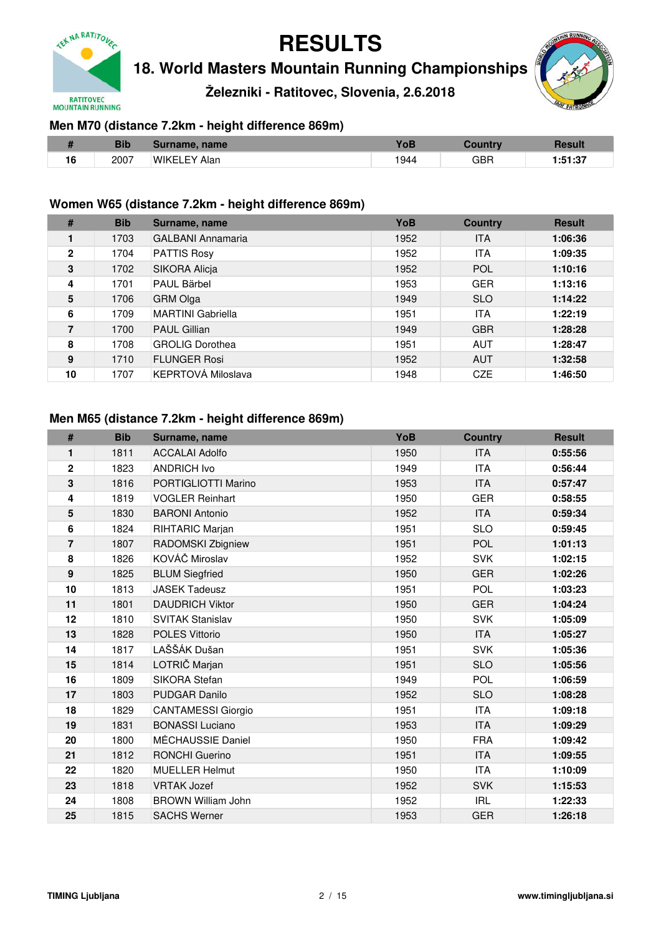

**18. World Masters Mountain Running Championships**

**Železniki - Ratitovec, Slovenia, 2.6.2018**



### **Men M70 (distance 7.2km - height difference 869m)**

|    | <b>Bib</b> | Surname, name       |      |     | Resul         |
|----|------------|---------------------|------|-----|---------------|
| 16 | 2007       | <b>WIKELEY Alan</b> | 1944 | GBR | . 7<br>, ۱. ت |

#### **Women W65 (distance 7.2km - height difference 869m)**

| #            | <b>Bib</b> | Surname, name            | YoB  | <b>Country</b> | <b>Result</b> |
|--------------|------------|--------------------------|------|----------------|---------------|
|              | 1703       | <b>GALBANI Annamaria</b> | 1952 | <b>ITA</b>     | 1:06:36       |
| $\mathbf{2}$ | 1704       | <b>PATTIS Rosy</b>       | 1952 | ITA            | 1:09:35       |
| 3            | 1702       | SIKORA Alicja            | 1952 | POL            | 1:10:16       |
| 4            | 1701       | PAUL Bärbel              | 1953 | <b>GER</b>     | 1:13:16       |
| 5            | 1706       | <b>GRM Olga</b>          | 1949 | <b>SLO</b>     | 1:14:22       |
| 6            | 1709       | <b>MARTINI Gabriella</b> | 1951 | <b>ITA</b>     | 1:22:19       |
| 7            | 1700       | <b>PAUL Gillian</b>      | 1949 | <b>GBR</b>     | 1:28:28       |
| 8            | 1708       | <b>GROLIG Dorothea</b>   | 1951 | <b>AUT</b>     | 1:28:47       |
| 9            | 1710       | <b>FLUNGER Rosi</b>      | 1952 | <b>AUT</b>     | 1:32:58       |
| 10           | 1707       | KEPRTOVÁ Miloslava       | 1948 | CZE            | 1:46:50       |

#### **Men M65 (distance 7.2km - height difference 869m)**

| #              | <b>Bib</b> | Surname, name             | YoB  | <b>Country</b> | <b>Result</b> |
|----------------|------------|---------------------------|------|----------------|---------------|
| 1              | 1811       | <b>ACCALAI Adolfo</b>     | 1950 | <b>ITA</b>     | 0:55:56       |
| $\overline{2}$ | 1823       | <b>ANDRICH Ivo</b>        | 1949 | <b>ITA</b>     | 0:56:44       |
| 3              | 1816       | PORTIGLIOTTI Marino       | 1953 | <b>ITA</b>     | 0:57:47       |
| 4              | 1819       | <b>VOGLER Reinhart</b>    | 1950 | <b>GER</b>     | 0:58:55       |
| 5              | 1830       | <b>BARONI Antonio</b>     | 1952 | <b>ITA</b>     | 0:59:34       |
| 6              | 1824       | RIHTARIC Marjan           | 1951 | <b>SLO</b>     | 0:59:45       |
| $\overline{7}$ | 1807       | RADOMSKI Zbigniew         | 1951 | POL            | 1:01:13       |
| 8              | 1826       | KOVÁČ Miroslav            | 1952 | <b>SVK</b>     | 1:02:15       |
| 9              | 1825       | <b>BLUM Siegfried</b>     | 1950 | <b>GER</b>     | 1:02:26       |
| 10             | 1813       | <b>JASEK Tadeusz</b>      | 1951 | POL            | 1:03:23       |
| 11             | 1801       | <b>DAUDRICH Viktor</b>    | 1950 | <b>GER</b>     | 1:04:24       |
| 12             | 1810       | <b>SVITAK Stanislav</b>   | 1950 | <b>SVK</b>     | 1:05:09       |
| 13             | 1828       | <b>POLES Vittorio</b>     | 1950 | <b>ITA</b>     | 1:05:27       |
| 14             | 1817       | LAŠŠÁK Dušan              | 1951 | <b>SVK</b>     | 1:05:36       |
| 15             | 1814       | LOTRIČ Marjan             | 1951 | <b>SLO</b>     | 1:05:56       |
| 16             | 1809       | SIKORA Stefan             | 1949 | POL            | 1:06:59       |
| 17             | 1803       | <b>PUDGAR Danilo</b>      | 1952 | <b>SLO</b>     | 1:08:28       |
| 18             | 1829       | <b>CANTAMESSI Giorgio</b> | 1951 | <b>ITA</b>     | 1:09:18       |
| 19             | 1831       | <b>BONASSI Luciano</b>    | 1953 | <b>ITA</b>     | 1:09:29       |
| 20             | 1800       | MÉCHAUSSIE Daniel         | 1950 | <b>FRA</b>     | 1:09:42       |
| 21             | 1812       | <b>RONCHI Guerino</b>     | 1951 | <b>ITA</b>     | 1:09:55       |
| 22             | 1820       | <b>MUELLER Helmut</b>     | 1950 | <b>ITA</b>     | 1:10:09       |
| 23             | 1818       | <b>VRTAK Jozef</b>        | 1952 | <b>SVK</b>     | 1:15:53       |
| 24             | 1808       | <b>BROWN William John</b> | 1952 | <b>IRL</b>     | 1:22:33       |
| 25             | 1815       | <b>SACHS Werner</b>       | 1953 | <b>GER</b>     | 1:26:18       |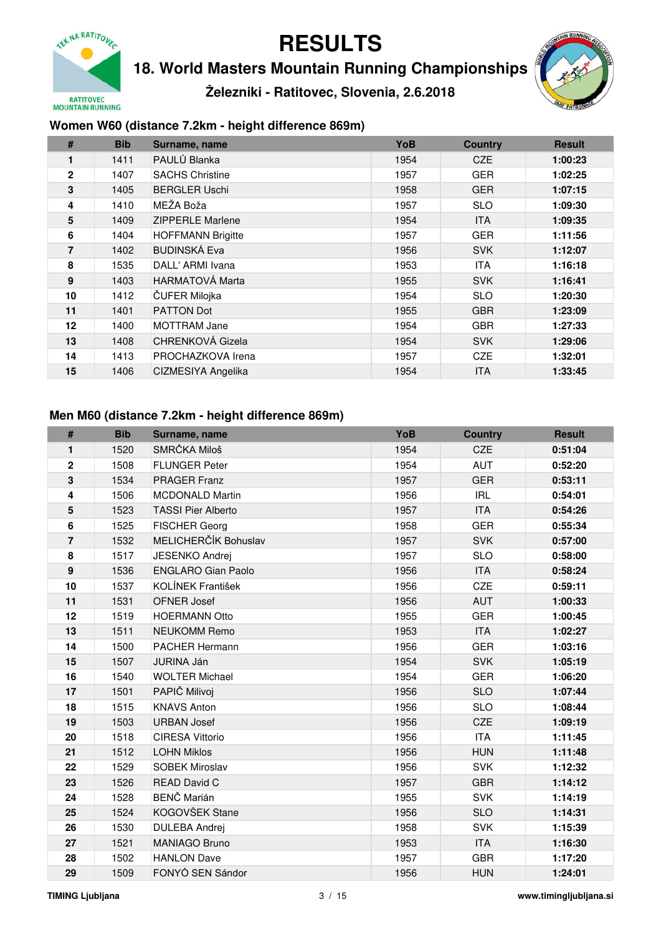

**18. World Masters Mountain Running Championships**

**Železniki - Ratitovec, Slovenia, 2.6.2018**



### **Women W60 (distance 7.2km - height difference 869m)**

| #            | <b>Bib</b> | Surname, name            | YoB  | <b>Country</b> | <b>Result</b> |
|--------------|------------|--------------------------|------|----------------|---------------|
| 1            | 1411       | PAULŮ Blanka             | 1954 | CZE            | 1:00:23       |
| $\mathbf{2}$ | 1407       | <b>SACHS Christine</b>   | 1957 | <b>GER</b>     | 1:02:25       |
| 3            | 1405       | <b>BERGLER Uschi</b>     | 1958 | <b>GER</b>     | 1:07:15       |
| 4            | 1410       | MEŽA Boža                | 1957 | <b>SLO</b>     | 1:09:30       |
| 5            | 1409       | <b>ZIPPERLE Marlene</b>  | 1954 | <b>ITA</b>     | 1:09:35       |
| 6            | 1404       | <b>HOFFMANN Brigitte</b> | 1957 | <b>GER</b>     | 1:11:56       |
| 7            | 1402       | <b>BUDINSKÁ Eva</b>      | 1956 | <b>SVK</b>     | 1:12:07       |
| 8            | 1535       | DALL' ARMI Ivana         | 1953 | <b>ITA</b>     | 1:16:18       |
| 9            | 1403       | <b>HARMATOVÁ Marta</b>   | 1955 | <b>SVK</b>     | 1:16:41       |
| 10           | 1412       | ČUFER Milojka            | 1954 | <b>SLO</b>     | 1:20:30       |
| 11           | 1401       | <b>PATTON Dot</b>        | 1955 | <b>GBR</b>     | 1:23:09       |
| 12           | 1400       | <b>MOTTRAM Jane</b>      | 1954 | <b>GBR</b>     | 1:27:33       |
| 13           | 1408       | CHRENKOVÁ Gizela         | 1954 | <b>SVK</b>     | 1:29:06       |
| 14           | 1413       | PROCHAZKOVA Irena        | 1957 | <b>CZE</b>     | 1:32:01       |
| 15           | 1406       | CIZMESIYA Angelika       | 1954 | <b>ITA</b>     | 1:33:45       |

#### **Men M60 (distance 7.2km - height difference 869m)**

| #              | <b>Bib</b> | Surname, name             | YoB  | <b>Country</b> | <b>Result</b> |
|----------------|------------|---------------------------|------|----------------|---------------|
| 1              | 1520       | SMRČKA Miloš              | 1954 | CZE            | 0:51:04       |
| $\mathbf 2$    | 1508       | <b>FLUNGER Peter</b>      | 1954 | <b>AUT</b>     | 0:52:20       |
| 3              | 1534       | <b>PRAGER Franz</b>       | 1957 | <b>GER</b>     | 0:53:11       |
| 4              | 1506       | <b>MCDONALD Martin</b>    | 1956 | <b>IRL</b>     | 0:54:01       |
| 5              | 1523       | <b>TASSI Pier Alberto</b> | 1957 | <b>ITA</b>     | 0:54:26       |
| 6              | 1525       | <b>FISCHER Georg</b>      | 1958 | <b>GER</b>     | 0:55:34       |
| $\overline{7}$ | 1532       | MELICHERČÍK Bohuslav      | 1957 | <b>SVK</b>     | 0:57:00       |
| 8              | 1517       | <b>JESENKO Andrej</b>     | 1957 | <b>SLO</b>     | 0:58:00       |
| 9              | 1536       | <b>ENGLARO Gian Paolo</b> | 1956 | <b>ITA</b>     | 0:58:24       |
| 10             | 1537       | KOLÍNEK František         | 1956 | CZE            | 0:59:11       |
| 11             | 1531       | <b>OFNER Josef</b>        | 1956 | <b>AUT</b>     | 1:00:33       |
| 12             | 1519       | <b>HOERMANN Otto</b>      | 1955 | <b>GER</b>     | 1:00:45       |
| 13             | 1511       | <b>NEUKOMM Remo</b>       | 1953 | <b>ITA</b>     | 1:02:27       |
| 14             | 1500       | <b>PACHER Hermann</b>     | 1956 | <b>GER</b>     | 1:03:16       |
| 15             | 1507       | <b>JURINA Ján</b>         | 1954 | <b>SVK</b>     | 1:05:19       |
| 16             | 1540       | <b>WOLTER Michael</b>     | 1954 | <b>GER</b>     | 1:06:20       |
| 17             | 1501       | PAPIČ Milivoj             | 1956 | <b>SLO</b>     | 1:07:44       |
| 18             | 1515       | <b>KNAVS Anton</b>        | 1956 | <b>SLO</b>     | 1:08:44       |
| 19             | 1503       | <b>URBAN Josef</b>        | 1956 | CZE            | 1:09:19       |
| 20             | 1518       | <b>CIRESA Vittorio</b>    | 1956 | <b>ITA</b>     | 1:11:45       |
| 21             | 1512       | <b>LOHN Miklos</b>        | 1956 | <b>HUN</b>     | 1:11:48       |
| 22             | 1529       | <b>SOBEK Miroslav</b>     | 1956 | <b>SVK</b>     | 1:12:32       |
| 23             | 1526       | <b>READ David C</b>       | 1957 | <b>GBR</b>     | 1:14:12       |
| 24             | 1528       | <b>BENČ Marián</b>        | 1955 | <b>SVK</b>     | 1:14:19       |
| 25             | 1524       | KOGOVŠEK Stane            | 1956 | <b>SLO</b>     | 1:14:31       |
| 26             | 1530       | <b>DULEBA Andrej</b>      | 1958 | <b>SVK</b>     | 1:15:39       |
| 27             | 1521       | MANIAGO Bruno             | 1953 | <b>ITA</b>     | 1:16:30       |
| 28             | 1502       | <b>HANLON Dave</b>        | 1957 | <b>GBR</b>     | 1:17:20       |
| 29             | 1509       | FONYÓ SEN Sándor          | 1956 | <b>HUN</b>     | 1:24:01       |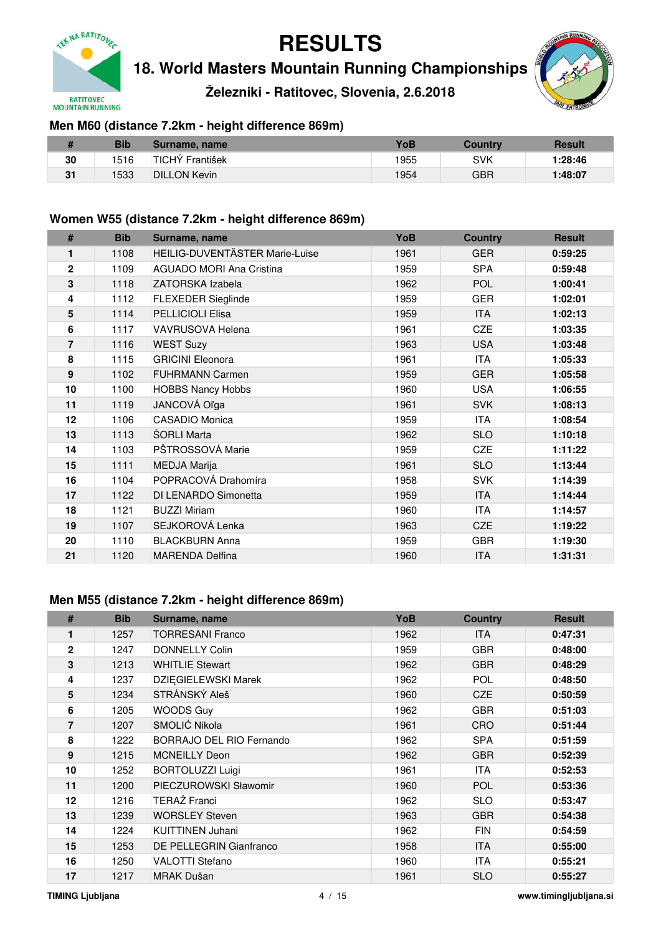

**18. World Masters Mountain Running Championships**

**Železniki - Ratitovec, Slovenia, 2.6.2018**



### **Men M60 (distance 7.2km - height difference 869m)**

|    | Bib  | Surname, name                | YoB  | <b>Country</b> | <b>Result</b> |
|----|------|------------------------------|------|----------------|---------------|
| 30 | 1516 | <sup>∣</sup> TICHÝ František | 1955 | SVK            | 1:28:46       |
| 31 | 1533 | <b>DILLON Kevin</b>          | 1954 | GBR            | 1:48:07       |

#### **Women W55 (distance 7.2km - height difference 869m)**

| #                 | <b>Bib</b> | Surname, name                   | YoB  | <b>Country</b> | <b>Result</b> |
|-------------------|------------|---------------------------------|------|----------------|---------------|
| 1                 | 1108       | HEILIG-DUVENTÄSTER Marie-Luise  | 1961 | <b>GER</b>     | 0:59:25       |
| $\overline{2}$    | 1109       | <b>AGUADO MORI Ana Cristina</b> | 1959 | <b>SPA</b>     | 0:59:48       |
| 3                 | 1118       | ZATORSKA Izabela                | 1962 | <b>POL</b>     | 1:00:41       |
| 4                 | 1112       | <b>FLEXEDER Sieglinde</b>       | 1959 | <b>GER</b>     | 1:02:01       |
| 5                 | 1114       | PELLICIOLI Elisa                | 1959 | <b>ITA</b>     | 1:02:13       |
| 6                 | 1117       | <b>VAVRUSOVA Helena</b>         | 1961 | <b>CZE</b>     | 1:03:35       |
| $\overline{7}$    | 1116       | <b>WEST Suzy</b>                | 1963 | <b>USA</b>     | 1:03:48       |
| 8                 | 1115       | <b>GRICINI Eleonora</b>         | 1961 | <b>ITA</b>     | 1:05:33       |
| 9                 | 1102       | <b>FUHRMANN Carmen</b>          | 1959 | <b>GER</b>     | 1:05:58       |
| 10                | 1100       | <b>HOBBS Nancy Hobbs</b>        | 1960 | <b>USA</b>     | 1:06:55       |
| 11                | 1119       | JANCOVÁ Oľga                    | 1961 | <b>SVK</b>     | 1:08:13       |
| $12 \overline{ }$ | 1106       | CASADIO Monica                  | 1959 | <b>ITA</b>     | 1:08:54       |
| 13                | 1113       | ŠORLI Marta                     | 1962 | <b>SLO</b>     | 1:10:18       |
| 14                | 1103       | PŠTROSSOVÁ Marie                | 1959 | <b>CZE</b>     | 1:11:22       |
| 15                | 1111       | <b>MEDJA Marija</b>             | 1961 | <b>SLO</b>     | 1:13:44       |
| 16                | 1104       | POPRACOVÁ Drahomíra             | 1958 | <b>SVK</b>     | 1:14:39       |
| 17                | 1122       | DI LENARDO Simonetta            | 1959 | <b>ITA</b>     | 1:14:44       |
| 18                | 1121       | <b>BUZZI Miriam</b>             | 1960 | <b>ITA</b>     | 1:14:57       |
| 19                | 1107       | SEJKOROVÁ Lenka                 | 1963 | <b>CZE</b>     | 1:19:22       |
| 20                | 1110       | <b>BLACKBURN Anna</b>           | 1959 | <b>GBR</b>     | 1:19:30       |
| 21                | 1120       | <b>MARENDA Delfina</b>          | 1960 | <b>ITA</b>     | 1:31:31       |

#### **Men M55 (distance 7.2km - height difference 869m)**

| #            | <b>Bib</b> | Surname, name              | <b>YoB</b> | <b>Country</b> | <b>Result</b> |
|--------------|------------|----------------------------|------------|----------------|---------------|
| 1            | 1257       | <b>TORRESANI Franco</b>    | 1962       | <b>ITA</b>     | 0:47:31       |
| $\mathbf{2}$ | 1247       | <b>DONNELLY Colin</b>      | 1959       | <b>GBR</b>     | 0:48:00       |
| 3            | 1213       | <b>WHITLIE Stewart</b>     | 1962       | <b>GBR</b>     | 0:48:29       |
| 4            | 1237       | <b>DZIEGIELEWSKI Marek</b> | 1962       | <b>POL</b>     | 0:48:50       |
| 5            | 1234       | STRÁNSKÝ Aleš              | 1960       | <b>CZE</b>     | 0:50:59       |
| 6            | 1205       | <b>WOODS Guy</b>           | 1962       | <b>GBR</b>     | 0:51:03       |
| 7            | 1207       | SMOLIĆ Nikola              | 1961       | <b>CRO</b>     | 0:51:44       |
| 8            | 1222       | BORRAJO DEL RIO Fernando   | 1962       | <b>SPA</b>     | 0:51:59       |
| 9            | 1215       | <b>MCNEILLY Deon</b>       | 1962       | <b>GBR</b>     | 0:52:39       |
| 10           | 1252       | <b>BORTOLUZZI Luigi</b>    | 1961       | <b>ITA</b>     | 0:52:53       |
| 11           | 1200       | PIECZUROWSKI Sławomir      | 1960       | <b>POL</b>     | 0:53:36       |
| 12           | 1216       | TERAŽ Franci               | 1962       | <b>SLO</b>     | 0:53:47       |
| 13           | 1239       | <b>WORSLEY Steven</b>      | 1963       | <b>GBR</b>     | 0:54:38       |
| 14           | 1224       | <b>KUITTINEN Juhani</b>    | 1962       | <b>FIN</b>     | 0:54:59       |
| 15           | 1253       | DE PELLEGRIN Gianfranco    | 1958       | <b>ITA</b>     | 0:55:00       |
| 16           | 1250       | <b>VALOTTI Stefano</b>     | 1960       | <b>ITA</b>     | 0:55:21       |
| 17           | 1217       | MRAK Dušan                 | 1961       | <b>SLO</b>     | 0:55:27       |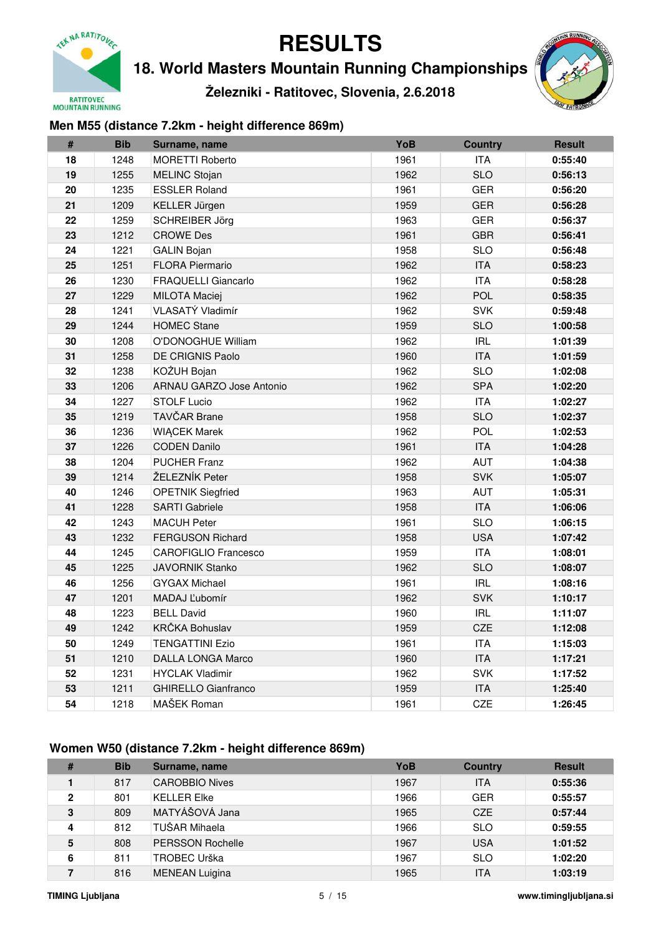

**18. World Masters Mountain Running Championships**

**Železniki - Ratitovec, Slovenia, 2.6.2018**



### **Men M55 (distance 7.2km - height difference 869m)**

| #  | <b>Bib</b> | Surname, name                   | YoB  | <b>Country</b> | <b>Result</b> |
|----|------------|---------------------------------|------|----------------|---------------|
| 18 | 1248       | <b>MORETTI Roberto</b>          | 1961 | <b>ITA</b>     | 0:55:40       |
| 19 | 1255       | <b>MELINC Stojan</b>            | 1962 | <b>SLO</b>     | 0:56:13       |
| 20 | 1235       | <b>ESSLER Roland</b>            | 1961 | <b>GER</b>     | 0:56:20       |
| 21 | 1209       | KELLER Jürgen                   | 1959 | GER            | 0:56:28       |
| 22 | 1259       | SCHREIBER Jörg                  | 1963 | <b>GER</b>     | 0:56:37       |
| 23 | 1212       | <b>CROWE Des</b>                | 1961 | <b>GBR</b>     | 0:56:41       |
| 24 | 1221       | <b>GALIN Bojan</b>              | 1958 | <b>SLO</b>     | 0:56:48       |
| 25 | 1251       | <b>FLORA Piermario</b>          | 1962 | <b>ITA</b>     | 0:58:23       |
| 26 | 1230       | <b>FRAQUELLI Giancarlo</b>      | 1962 | <b>ITA</b>     | 0:58:28       |
| 27 | 1229       | <b>MILOTA Maciej</b>            | 1962 | <b>POL</b>     | 0:58:35       |
| 28 | 1241       | VLASATÝ Vladimír                | 1962 | <b>SVK</b>     | 0:59:48       |
| 29 | 1244       | <b>HOMEC Stane</b>              | 1959 | <b>SLO</b>     | 1:00:58       |
| 30 | 1208       | O'DONOGHUE William              | 1962 | <b>IRL</b>     | 1:01:39       |
| 31 | 1258       | <b>DE CRIGNIS Paolo</b>         | 1960 | <b>ITA</b>     | 1:01:59       |
| 32 | 1238       | KOŽUH Bojan                     | 1962 | <b>SLO</b>     | 1:02:08       |
| 33 | 1206       | <b>ARNAU GARZO Jose Antonio</b> | 1962 | <b>SPA</b>     | 1:02:20       |
| 34 | 1227       | <b>STOLF Lucio</b>              | 1962 | <b>ITA</b>     | 1:02:27       |
| 35 | 1219       | <b>TAVČAR Brane</b>             | 1958 | <b>SLO</b>     | 1:02:37       |
| 36 | 1236       | <b>WIACEK Marek</b>             | 1962 | <b>POL</b>     | 1:02:53       |
| 37 | 1226       | <b>CODEN Danilo</b>             | 1961 | <b>ITA</b>     | 1:04:28       |
| 38 | 1204       | <b>PUCHER Franz</b>             | 1962 | <b>AUT</b>     | 1:04:38       |
| 39 | 1214       | ŽELEZNÍK Peter                  | 1958 | <b>SVK</b>     | 1:05:07       |
| 40 | 1246       | <b>OPETNIK Siegfried</b>        | 1963 | <b>AUT</b>     | 1:05:31       |
| 41 | 1228       | <b>SARTI Gabriele</b>           | 1958 | <b>ITA</b>     | 1:06:06       |
| 42 | 1243       | <b>MACUH Peter</b>              | 1961 | <b>SLO</b>     | 1:06:15       |
| 43 | 1232       | <b>FERGUSON Richard</b>         | 1958 | <b>USA</b>     | 1:07:42       |
| 44 | 1245       | <b>CAROFIGLIO Francesco</b>     | 1959 | <b>ITA</b>     | 1:08:01       |
| 45 | 1225       | <b>JAVORNIK Stanko</b>          | 1962 | <b>SLO</b>     | 1:08:07       |
| 46 | 1256       | <b>GYGAX Michael</b>            | 1961 | <b>IRL</b>     | 1:08:16       |
| 47 | 1201       | MADAJ Ľubomír                   | 1962 | <b>SVK</b>     | 1:10:17       |
| 48 | 1223       | <b>BELL David</b>               | 1960 | <b>IRL</b>     | 1:11:07       |
| 49 | 1242       | <b>KRČKA Bohuslav</b>           | 1959 | CZE            | 1:12:08       |
| 50 | 1249       | <b>TENGATTINI Ezio</b>          | 1961 | <b>ITA</b>     | 1:15:03       |
| 51 | 1210       | <b>DALLA LONGA Marco</b>        | 1960 | <b>ITA</b>     | 1:17:21       |
| 52 | 1231       | <b>HYCLAK Vladimir</b>          | 1962 | <b>SVK</b>     | 1:17:52       |
| 53 | 1211       | <b>GHIRELLO Gianfranco</b>      | 1959 | <b>ITA</b>     | 1:25:40       |
| 54 | 1218       | MAŠEK Roman                     | 1961 | CZE            | 1:26:45       |

## **Women W50 (distance 7.2km - height difference 869m)**

| # | <b>Bib</b> | Surname, name           | YoB  | <b>Country</b> | <b>Result</b> |
|---|------------|-------------------------|------|----------------|---------------|
|   | 817        | <b>CAROBBIO Nives</b>   | 1967 | <b>ITA</b>     | 0:55:36       |
| 2 | 801        | <b>KELLER Elke</b>      | 1966 | <b>GER</b>     | 0:55:57       |
| 3 | 809        | MATYÁŠOVÁ Jana          | 1965 | <b>CZE</b>     | 0:57:44       |
| 4 | 812        | TUŠAR Mihaela           | 1966 | <b>SLO</b>     | 0:59:55       |
| 5 | 808        | <b>PERSSON Rochelle</b> | 1967 | <b>USA</b>     | 1:01:52       |
| 6 | 811        | TROBEC Urška            | 1967 | <b>SLO</b>     | 1:02:20       |
|   | 816        | <b>MENEAN Luigina</b>   | 1965 | ITA            | 1:03:19       |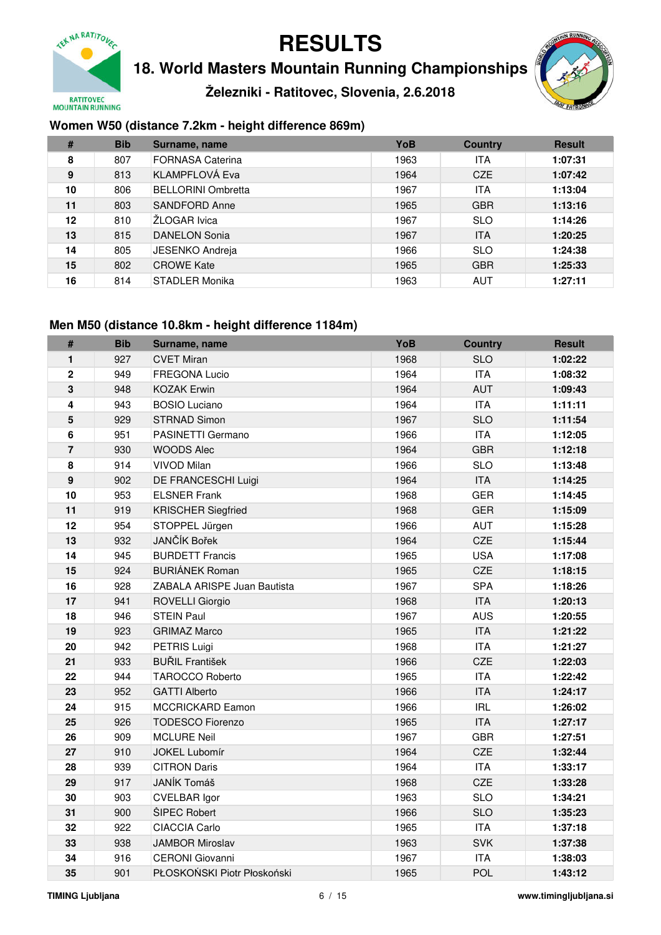

**18. World Masters Mountain Running Championships**

**Železniki - Ratitovec, Slovenia, 2.6.2018**



### **Women W50 (distance 7.2km - height difference 869m)**

| #  | <b>Bib</b> | Surname, name             | YoB  | <b>Country</b> | <b>Result</b> |
|----|------------|---------------------------|------|----------------|---------------|
| 8  | 807        | <b>FORNASA Caterina</b>   | 1963 | <b>ITA</b>     | 1:07:31       |
| 9  | 813        | KLAMPFLOVÁ Eva            | 1964 | <b>CZE</b>     | 1:07:42       |
| 10 | 806        | <b>BELLORINI Ombretta</b> | 1967 | <b>ITA</b>     | 1:13:04       |
| 11 | 803        | SANDFORD Anne             | 1965 | <b>GBR</b>     | 1:13:16       |
| 12 | 810        | ŽLOGAR Ivica              | 1967 | <b>SLO</b>     | 1:14:26       |
| 13 | 815        | <b>DANELON Sonia</b>      | 1967 | <b>ITA</b>     | 1:20:25       |
| 14 | 805        | <b>JESENKO Andreja</b>    | 1966 | <b>SLO</b>     | 1:24:38       |
| 15 | 802        | <b>CROWE Kate</b>         | 1965 | <b>GBR</b>     | 1:25:33       |
| 16 | 814        | <b>STADLER Monika</b>     | 1963 | <b>AUT</b>     | 1:27:11       |

### **Men M50 (distance 10.8km - height difference 1184m)**

| $\#$           | <b>Bib</b> | Surname, name               | YoB  | <b>Country</b> | <b>Result</b> |
|----------------|------------|-----------------------------|------|----------------|---------------|
| 1              | 927        | <b>CVET Miran</b>           | 1968 | <b>SLO</b>     | 1:02:22       |
| $\overline{2}$ | 949        | <b>FREGONA Lucio</b>        | 1964 | <b>ITA</b>     | 1:08:32       |
| 3              | 948        | <b>KOZAK Erwin</b>          | 1964 | <b>AUT</b>     | 1:09:43       |
| 4              | 943        | <b>BOSIO Luciano</b>        | 1964 | <b>ITA</b>     | 1:11:11       |
| 5              | 929        | <b>STRNAD Simon</b>         | 1967 | <b>SLO</b>     | 1:11:54       |
| 6              | 951        | PASINETTI Germano           | 1966 | <b>ITA</b>     | 1:12:05       |
| $\overline{7}$ | 930        | <b>WOODS Alec</b>           | 1964 | <b>GBR</b>     | 1:12:18       |
| 8              | 914        | VIVOD Milan                 | 1966 | <b>SLO</b>     | 1:13:48       |
| 9              | 902        | DE FRANCESCHI Luigi         | 1964 | <b>ITA</b>     | 1:14:25       |
| 10             | 953        | <b>ELSNER Frank</b>         | 1968 | <b>GER</b>     | 1:14:45       |
| 11             | 919        | <b>KRISCHER Siegfried</b>   | 1968 | <b>GER</b>     | 1:15:09       |
| 12             | 954        | STOPPEL Jürgen              | 1966 | <b>AUT</b>     | 1:15:28       |
| 13             | 932        | JANČÍK Bořek                | 1964 | CZE            | 1:15:44       |
| 14             | 945        | <b>BURDETT Francis</b>      | 1965 | <b>USA</b>     | 1:17:08       |
| 15             | 924        | <b>BURIÁNEK Roman</b>       | 1965 | CZE            | 1:18:15       |
| 16             | 928        | ZABALA ARISPE Juan Bautista | 1967 | <b>SPA</b>     | 1:18:26       |
| 17             | 941        | <b>ROVELLI Giorgio</b>      | 1968 | <b>ITA</b>     | 1:20:13       |
| 18             | 946        | <b>STEIN Paul</b>           | 1967 | <b>AUS</b>     | 1:20:55       |
| 19             | 923        | <b>GRIMAZ Marco</b>         | 1965 | <b>ITA</b>     | 1:21:22       |
| 20             | 942        | PETRIS Luigi                | 1968 | <b>ITA</b>     | 1:21:27       |
| 21             | 933        | <b>BUŘIL František</b>      | 1966 | CZE            | 1:22:03       |
| 22             | 944        | <b>TAROCCO Roberto</b>      | 1965 | <b>ITA</b>     | 1:22:42       |
| 23             | 952        | <b>GATTI Alberto</b>        | 1966 | <b>ITA</b>     | 1:24:17       |
| 24             | 915        | <b>MCCRICKARD Eamon</b>     | 1966 | <b>IRL</b>     | 1:26:02       |
| 25             | 926        | <b>TODESCO Fiorenzo</b>     | 1965 | <b>ITA</b>     | 1:27:17       |
| 26             | 909        | <b>MCLURE Neil</b>          | 1967 | <b>GBR</b>     | 1:27:51       |
| 27             | 910        | JOKEL Lubomír               | 1964 | CZE            | 1:32:44       |
| 28             | 939        | <b>CITRON Daris</b>         | 1964 | <b>ITA</b>     | 1:33:17       |
| 29             | 917        | JANÍK Tomáš                 | 1968 | CZE            | 1:33:28       |
| 30             | 903        | <b>CVELBAR Igor</b>         | 1963 | <b>SLO</b>     | 1:34:21       |
| 31             | 900        | ŠIPEC Robert                | 1966 | <b>SLO</b>     | 1:35:23       |
| 32             | 922        | <b>CIACCIA Carlo</b>        | 1965 | <b>ITA</b>     | 1:37:18       |
| 33             | 938        | <b>JAMBOR Miroslav</b>      | 1963 | <b>SVK</b>     | 1:37:38       |
| 34             | 916        | <b>CERONI</b> Giovanni      | 1967 | <b>ITA</b>     | 1:38:03       |
| 35             | 901        | PŁOSKOŃSKI Piotr Płoskoński | 1965 | <b>POL</b>     | 1:43:12       |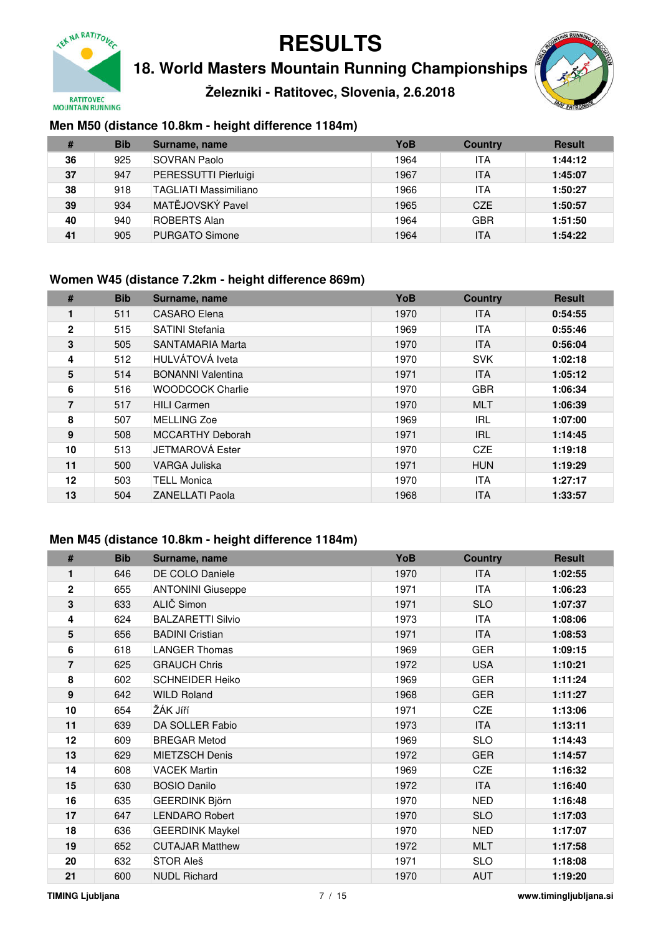

**18. World Masters Mountain Running Championships**

**Železniki - Ratitovec, Slovenia, 2.6.2018**



### **Men M50 (distance 10.8km - height difference 1184m)**

| #  | <b>Bib</b> | Surname, name                | YoB  | <b>Country</b> | <b>Result</b> |
|----|------------|------------------------------|------|----------------|---------------|
| 36 | 925        | ISOVRAN Paolo                | 1964 | ITA            | 1:44:12       |
| 37 | 947        | PERESSUTTI Pierluigi         | 1967 | <b>ITA</b>     | 1:45:07       |
| 38 | 918        | <b>TAGLIATI Massimiliano</b> | 1966 | ITA            | 1:50:27       |
| 39 | 934        | MATĚJOVSKÝ Pavel             | 1965 | <b>CZE</b>     | 1:50:57       |
| 40 | 940        | <b>ROBERTS Alan</b>          | 1964 | <b>GBR</b>     | 1:51:50       |
| 41 | 905        | PURGATO Simone               | 1964 | ITA            | 1:54:22       |

#### **Women W45 (distance 7.2km - height difference 869m)**

| #            | <b>Bib</b> | Surname, name            | <b>YoB</b> | <b>Country</b> | <b>Result</b> |
|--------------|------------|--------------------------|------------|----------------|---------------|
| 1            | 511        | <b>CASARO</b> Elena      | 1970       | <b>ITA</b>     | 0:54:55       |
| $\mathbf{2}$ | 515        | <b>SATINI Stefania</b>   | 1969       | <b>ITA</b>     | 0:55:46       |
| 3            | 505        | SANTAMARIA Marta         | 1970       | <b>ITA</b>     | 0:56:04       |
| 4            | 512        | HULVÁTOVÁ Iveta          | 1970       | <b>SVK</b>     | 1:02:18       |
| 5            | 514        | <b>BONANNI Valentina</b> | 1971       | <b>ITA</b>     | 1:05:12       |
| 6            | 516        | <b>WOODCOCK Charlie</b>  | 1970       | <b>GBR</b>     | 1:06:34       |
| 7            | 517        | <b>HILI Carmen</b>       | 1970       | <b>MLT</b>     | 1:06:39       |
| 8            | 507        | MELLING Zoe              | 1969       | <b>IRL</b>     | 1:07:00       |
| 9            | 508        | <b>MCCARTHY Deborah</b>  | 1971       | <b>IRL</b>     | 1:14:45       |
| 10           | 513        | JETMAROVÁ Ester          | 1970       | CZE            | 1:19:18       |
| 11           | 500        | VARGA Juliska            | 1971       | <b>HUN</b>     | 1:19:29       |
| 12           | 503        | <b>TELL Monica</b>       | 1970       | <b>ITA</b>     | 1:27:17       |
| 13           | 504        | <b>ZANELLATI Paola</b>   | 1968       | <b>ITA</b>     | 1:33:57       |

#### **Men M45 (distance 10.8km - height difference 1184m)**

| #                | <b>Bib</b> | Surname, name            | YoB  | <b>Country</b> | <b>Result</b> |
|------------------|------------|--------------------------|------|----------------|---------------|
| 1                | 646        | DE COLO Daniele          | 1970 | <b>ITA</b>     | 1:02:55       |
| $\mathbf{2}$     | 655        | <b>ANTONINI Giuseppe</b> | 1971 | <b>ITA</b>     | 1:06:23       |
| 3                | 633        | ALIČ Simon               | 1971 | <b>SLO</b>     | 1:07:37       |
| 4                | 624        | <b>BALZARETTI Silvio</b> | 1973 | ITA            | 1:08:06       |
| 5                | 656        | <b>BADINI Cristian</b>   | 1971 | <b>ITA</b>     | 1:08:53       |
| 6                | 618        | <b>LANGER Thomas</b>     | 1969 | <b>GER</b>     | 1:09:15       |
| $\overline{7}$   | 625        | <b>GRAUCH Chris</b>      | 1972 | <b>USA</b>     | 1:10:21       |
| 8                | 602        | <b>SCHNEIDER Heiko</b>   | 1969 | <b>GER</b>     | 1:11:24       |
| $\boldsymbol{9}$ | 642        | <b>WILD Roland</b>       | 1968 | <b>GER</b>     | 1:11:27       |
| 10               | 654        | ŽÁK Jíří                 | 1971 | <b>CZE</b>     | 1:13:06       |
| 11               | 639        | DA SOLLER Fabio          | 1973 | <b>ITA</b>     | 1:13:11       |
| 12               | 609        | <b>BREGAR Metod</b>      | 1969 | <b>SLO</b>     | 1:14:43       |
| 13               | 629        | <b>MIETZSCH Denis</b>    | 1972 | <b>GER</b>     | 1:14:57       |
| 14               | 608        | <b>VACEK Martin</b>      | 1969 | <b>CZE</b>     | 1:16:32       |
| 15               | 630        | <b>BOSIO Danilo</b>      | 1972 | <b>ITA</b>     | 1:16:40       |
| 16               | 635        | <b>GEERDINK Björn</b>    | 1970 | <b>NED</b>     | 1:16:48       |
| 17               | 647        | <b>LENDARO Robert</b>    | 1970 | <b>SLO</b>     | 1:17:03       |
| 18               | 636        | <b>GEERDINK Maykel</b>   | 1970 | <b>NED</b>     | 1:17:07       |
| 19               | 652        | <b>CUTAJAR Matthew</b>   | 1972 | <b>MLT</b>     | 1:17:58       |
| 20               | 632        | ŠTOR Aleš                | 1971 | <b>SLO</b>     | 1:18:08       |
| 21               | 600        | <b>NUDL Richard</b>      | 1970 | <b>AUT</b>     | 1:19:20       |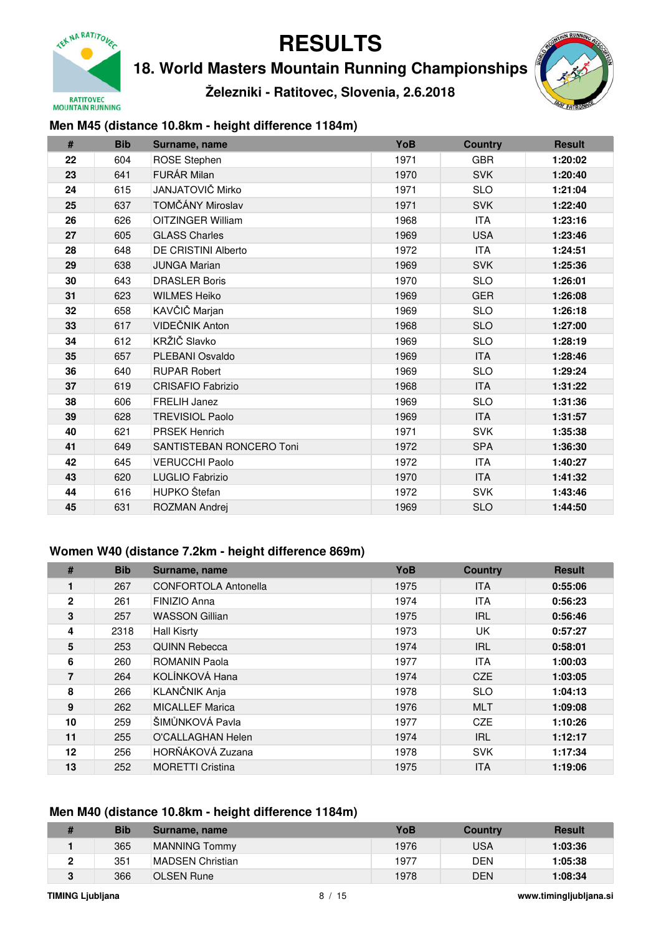

**18. World Masters Mountain Running Championships**

**Železniki - Ratitovec, Slovenia, 2.6.2018**



### **Men M45 (distance 10.8km - height difference 1184m)**

| #  | <b>Bib</b> | Surname, name            | YoB  | <b>Country</b> | <b>Result</b> |
|----|------------|--------------------------|------|----------------|---------------|
| 22 | 604        | <b>ROSE Stephen</b>      | 1971 | <b>GBR</b>     | 1:20:02       |
| 23 | 641        | <b>FURÁR Milan</b>       | 1970 | <b>SVK</b>     | 1:20:40       |
| 24 | 615        | JANJATOVIČ Mirko         | 1971 | <b>SLO</b>     | 1:21:04       |
| 25 | 637        | TOMČÁNY Miroslav         | 1971 | <b>SVK</b>     | 1:22:40       |
| 26 | 626        | <b>OITZINGER William</b> | 1968 | <b>ITA</b>     | 1:23:16       |
| 27 | 605        | <b>GLASS Charles</b>     | 1969 | <b>USA</b>     | 1:23:46       |
| 28 | 648        | DE CRISTINI Alberto      | 1972 | <b>ITA</b>     | 1:24:51       |
| 29 | 638        | <b>JUNGA Marian</b>      | 1969 | <b>SVK</b>     | 1:25:36       |
| 30 | 643        | <b>DRASLER Boris</b>     | 1970 | <b>SLO</b>     | 1:26:01       |
| 31 | 623        | <b>WILMES Heiko</b>      | 1969 | <b>GER</b>     | 1:26:08       |
| 32 | 658        | KAVČIČ Marjan            | 1969 | <b>SLO</b>     | 1:26:18       |
| 33 | 617        | VIDEČNIK Anton           | 1968 | <b>SLO</b>     | 1:27:00       |
| 34 | 612        | KRŽIČ Slavko             | 1969 | <b>SLO</b>     | 1:28:19       |
| 35 | 657        | PLEBANI Osvaldo          | 1969 | <b>ITA</b>     | 1:28:46       |
| 36 | 640        | <b>RUPAR Robert</b>      | 1969 | <b>SLO</b>     | 1:29:24       |
| 37 | 619        | <b>CRISAFIO Fabrizio</b> | 1968 | <b>ITA</b>     | 1:31:22       |
| 38 | 606        | <b>FRELIH Janez</b>      | 1969 | <b>SLO</b>     | 1:31:36       |
| 39 | 628        | <b>TREVISIOL Paolo</b>   | 1969 | <b>ITA</b>     | 1:31:57       |
| 40 | 621        | <b>PRSEK Henrich</b>     | 1971 | <b>SVK</b>     | 1:35:38       |
| 41 | 649        | SANTISTEBAN RONCERO Toni | 1972 | <b>SPA</b>     | 1:36:30       |
| 42 | 645        | <b>VERUCCHI Paolo</b>    | 1972 | <b>ITA</b>     | 1:40:27       |
| 43 | 620        | LUGLIO Fabrizio          | 1970 | <b>ITA</b>     | 1:41:32       |
| 44 | 616        | HUPKO Štefan             | 1972 | <b>SVK</b>     | 1:43:46       |
| 45 | 631        | ROZMAN Andrej            | 1969 | <b>SLO</b>     | 1:44:50       |

#### **Women W40 (distance 7.2km - height difference 869m)**

| #            | <b>Bib</b> | Surname, name               | YoB  | <b>Country</b> | <b>Result</b> |
|--------------|------------|-----------------------------|------|----------------|---------------|
| 1            | 267        | <b>CONFORTOLA Antonella</b> | 1975 | <b>ITA</b>     | 0:55:06       |
| $\mathbf{2}$ | 261        | FINIZIO Anna                | 1974 | <b>ITA</b>     | 0:56:23       |
| 3            | 257        | <b>WASSON Gillian</b>       | 1975 | <b>IRL</b>     | 0:56:46       |
| 4            | 2318       | <b>Hall Kisrty</b>          | 1973 | UK             | 0:57:27       |
| 5            | 253        | <b>QUINN Rebecca</b>        | 1974 | <b>IRL</b>     | 0:58:01       |
| 6            | 260        | <b>ROMANIN Paola</b>        | 1977 | <b>ITA</b>     | 1:00:03       |
| 7            | 264        | KOLÍNKOVÁ Hana              | 1974 | <b>CZE</b>     | 1:03:05       |
| 8            | 266        | <b>KLANČNIK Anja</b>        | 1978 | <b>SLO</b>     | 1:04:13       |
| 9            | 262        | <b>MICALLEF Marica</b>      | 1976 | <b>MLT</b>     | 1:09:08       |
| 10           | 259        | ŠIMŮNKOVÁ Pavla             | 1977 | <b>CZE</b>     | 1:10:26       |
| 11           | 255        | O'CALLAGHAN Helen           | 1974 | <b>IRL</b>     | 1:12:17       |
| 12           | 256        | HORŇÁKOVÁ Zuzana            | 1978 | <b>SVK</b>     | 1:17:34       |
| 13           | 252        | <b>MORETTI Cristina</b>     | 1975 | <b>ITA</b>     | 1:19:06       |

#### **Men M40 (distance 10.8km - height difference 1184m)**

| <b>Bib</b> | Surname, name        | YoB  | <b>Country</b> | <b>Result</b> |
|------------|----------------------|------|----------------|---------------|
| 365        | <b>MANNING Tommy</b> | 1976 | USA            | 1:03:36       |
| 351        | IMADSEN Christian    | 1977 | DEN            | 1:05:38       |
| 366        | <b>OLSEN Rune</b>    | 1978 | <b>DEN</b>     | 1:08:34       |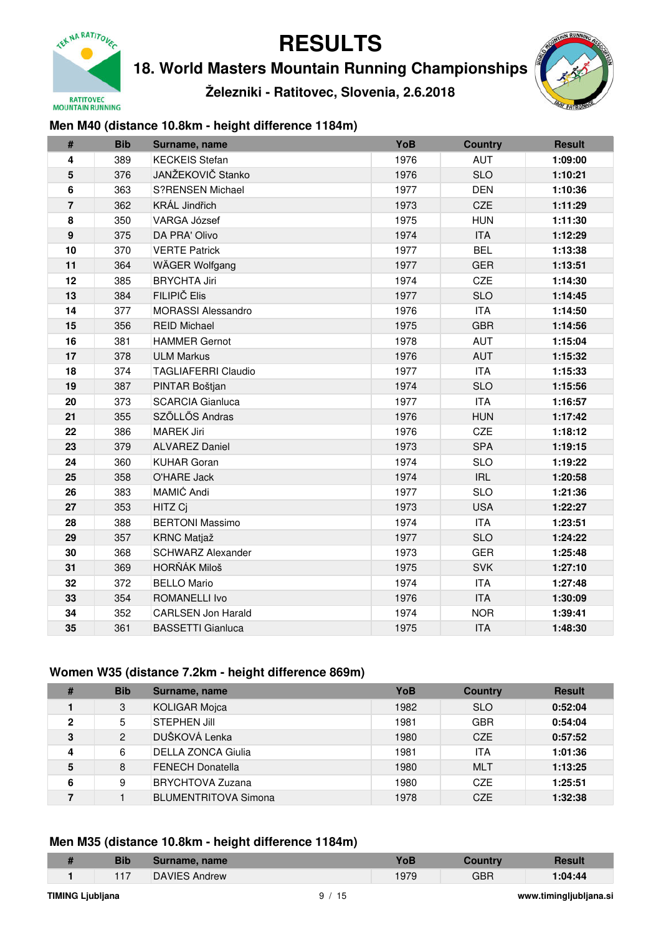

**18. World Masters Mountain Running Championships**

**Železniki - Ratitovec, Slovenia, 2.6.2018**



### **Men M40 (distance 10.8km - height difference 1184m)**

| #              | <b>Bib</b> | Surname, name                            | YoB                      | <b>Country</b> | <b>Result</b> |
|----------------|------------|------------------------------------------|--------------------------|----------------|---------------|
| 4              | 389        | <b>KECKEIS Stefan</b>                    | 1976                     | <b>AUT</b>     | 1:09:00       |
| 5              | 376        | JANŽEKOVIČ Stanko                        | 1976                     | <b>SLO</b>     | 1:10:21       |
| 6              | 363        | <b>S?RENSEN Michael</b>                  | 1977                     | <b>DEN</b>     | 1:10:36       |
| $\overline{7}$ | 362        | KRÁL Jindřich                            | 1973                     | CZE            | 1:11:29       |
| 8              | 350        | <b>VARGA József</b>                      | 1975                     | <b>HUN</b>     | 1:11:30       |
| 9              | 375        | DA PRA' Olivo                            | 1974                     | <b>ITA</b>     | 1:12:29       |
| 10             | 370        | <b>VERTE Patrick</b>                     | 1977                     | <b>BEL</b>     | 1:13:38       |
| 11             | 364        | WÄGER Wolfgang                           | 1977                     | <b>GER</b>     | 1:13:51       |
| 12             | 385        | <b>BRYCHTA Jiri</b>                      | 1974                     | CZE            | 1:14:30       |
| 13             | 384        | FILIPIČ Elis                             | 1977                     | <b>SLO</b>     | 1:14:45       |
| 14             | 377        | <b>MORASSI Alessandro</b>                | 1976                     | <b>ITA</b>     | 1:14:50       |
| 15             | 356        | <b>REID Michael</b>                      | 1975                     | <b>GBR</b>     | 1:14:56       |
| 16             | 381        | <b>HAMMER Gernot</b>                     | <b>AUT</b>               | 1:15:04        |               |
| 17             | 378        | <b>ULM Markus</b>                        | 1976                     | <b>AUT</b>     | 1:15:32       |
| 18             | 374        | <b>TAGLIAFERRI Claudio</b>               | 1977                     | <b>ITA</b>     | 1:15:33       |
| 19             | 387        | PINTAR Boštjan                           | 1974                     | <b>SLO</b>     | 1:15:56       |
| 20             | 373        | <b>SCARCIA Gianluca</b>                  | 1977                     | <b>ITA</b>     | 1:16:57       |
| 21             | 355        | SZŐLLŐS Andras                           | 1976                     | <b>HUN</b>     | 1:17:42       |
| 22             | 386        | <b>MAREK Jiri</b>                        | 1976                     | CZE            | 1:18:12       |
| 23             | 379        | <b>ALVAREZ Daniel</b>                    | 1973                     | <b>SPA</b>     | 1:19:15       |
| 24             | 360        | <b>KUHAR Goran</b>                       | 1974                     | <b>SLO</b>     | 1:19:22       |
| 25             | 358        | O'HARE Jack                              | 1974                     | <b>IRL</b>     | 1:20:58       |
| 26             | 383        | MAMIĆ Andi                               | 1977                     | <b>SLO</b>     | 1:21:36       |
| 27             | 353        | HITZ Cj                                  | 1973                     | <b>USA</b>     | 1:22:27       |
| 28             | 388        | <b>BERTONI Massimo</b>                   | 1974                     | <b>ITA</b>     | 1:23:51       |
| 29             | 357        | <b>KRNC Matjaž</b><br><b>SLO</b><br>1977 |                          |                | 1:24:22       |
| 30             | 368        | <b>SCHWARZ Alexander</b>                 | <b>GER</b>               | 1:25:48        |               |
| 31             | 369        | HORŇÁK Miloš                             | <b>SVK</b><br><b>ITA</b> | 1:27:10        |               |
| 32             | 372        | <b>BELLO Mario</b>                       | 1:27:48                  |                |               |
| 33             | 354        | <b>ROMANELLI Ivo</b>                     | 1976                     | <b>ITA</b>     | 1:30:09       |
| 34             | 352        | <b>CARLSEN Jon Harald</b>                | 1974                     | <b>NOR</b>     | 1:39:41       |
| 35             | 361        | <b>BASSETTI Gianluca</b>                 | 1975                     | <b>ITA</b>     | 1:48:30       |

#### **Women W35 (distance 7.2km - height difference 869m)**

| #            | <b>Bib</b>     | Surname, name               | YoB  | <b>Country</b> | <b>Result</b> |
|--------------|----------------|-----------------------------|------|----------------|---------------|
|              | 3              | <b>KOLIGAR Mojca</b>        | 1982 | <b>SLO</b>     | 0:52:04       |
| $\mathbf{2}$ | 5              | <b>STEPHEN Jill</b>         | 1981 | <b>GBR</b>     | 0:54:04       |
| 3            | $\overline{2}$ | DUŠKOVÁ Lenka               | 1980 | <b>CZE</b>     | 0:57:52       |
| 4            | 6              | <b>DELLA ZONCA Giulia</b>   | 1981 | <b>ITA</b>     | 1:01:36       |
| 5            | 8              | <b>FENECH Donatella</b>     | 1980 | <b>MLT</b>     | 1:13:25       |
| 6            | 9              | <b>BRYCHTOVA Zuzana</b>     | 1980 | <b>CZE</b>     | 1:25:51       |
|              |                | <b>BLUMENTRITOVA Simona</b> | 1978 | <b>CZE</b>     | 1:32:38       |

#### **Men M35 (distance 10.8km - height difference 1184m)**

| <b>Bib</b> | Surname, name        |     |     | <b>Result</b> |
|------------|----------------------|-----|-----|---------------|
| <b>447</b> | <b>DAVIES Andrew</b> | 070 | GBR | 1:04:44       |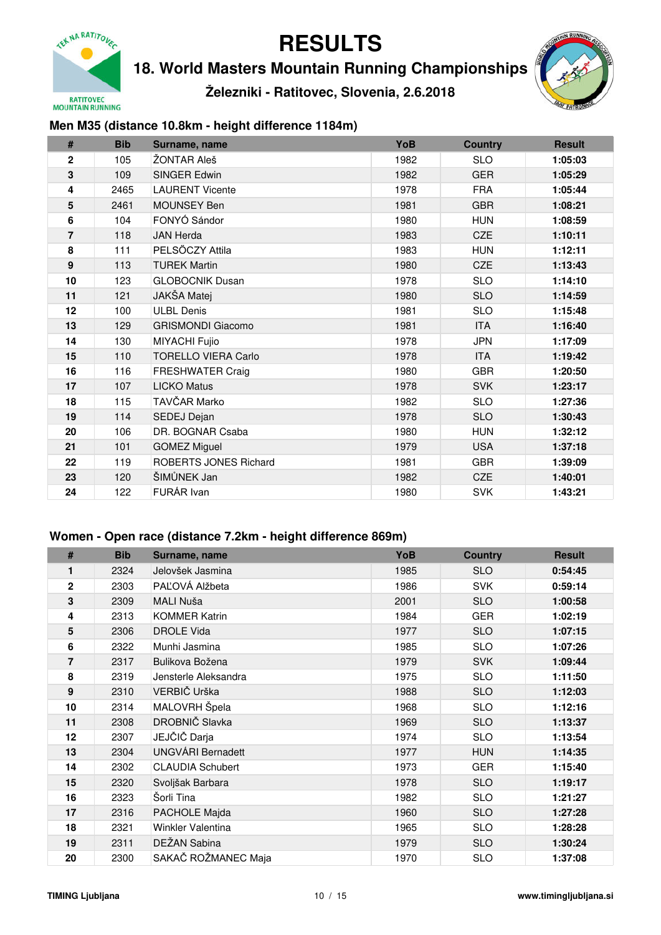

**18. World Masters Mountain Running Championships**

**Železniki - Ratitovec, Slovenia, 2.6.2018**



### **Men M35 (distance 10.8km - height difference 1184m)**

| #                | <b>Bib</b> | Surname, name              | YoB  | <b>Country</b> | <b>Result</b> |
|------------------|------------|----------------------------|------|----------------|---------------|
| $\mathbf 2$      | 105        | ŽONTAR Aleš                | 1982 | <b>SLO</b>     | 1:05:03       |
| 3                | 109        | <b>SINGER Edwin</b>        | 1982 | <b>GER</b>     | 1:05:29       |
| 4                | 2465       | <b>LAURENT Vicente</b>     | 1978 | <b>FRA</b>     | 1:05:44       |
| 5                | 2461       | MOUNSEY Ben                | 1981 | <b>GBR</b>     | 1:08:21       |
| 6                | 104        | FONYÓ Sándor               | 1980 | <b>HUN</b>     | 1:08:59       |
| $\overline{7}$   | 118        | <b>JAN Herda</b>           | 1983 | <b>CZE</b>     | 1:10:11       |
| 8                | 111        | PELSŐCZY Attila            | 1983 | <b>HUN</b>     | 1:12:11       |
| $\boldsymbol{9}$ | 113        | <b>TUREK Martin</b>        | 1980 | <b>CZE</b>     | 1:13:43       |
| 10               | 123        | <b>GLOBOCNIK Dusan</b>     | 1978 | <b>SLO</b>     | 1:14:10       |
| 11               | 121        | JAKŠA Matej                | 1980 | <b>SLO</b>     | 1:14:59       |
| 12               | 100        | <b>ULBL Denis</b>          | 1981 | <b>SLO</b>     | 1:15:48       |
| 13               | 129        | <b>GRISMONDI Giacomo</b>   | 1981 | <b>ITA</b>     | 1:16:40       |
| 14               | 130        | MIYACHI Fujio              | 1978 | <b>JPN</b>     | 1:17:09       |
| 15               | 110        | <b>TORELLO VIERA Carlo</b> | 1978 | <b>ITA</b>     | 1:19:42       |
| 16               | 116        | <b>FRESHWATER Craig</b>    | 1980 | <b>GBR</b>     | 1:20:50       |
| 17               | 107        | <b>LICKO Matus</b>         | 1978 | <b>SVK</b>     | 1:23:17       |
| 18               | 115        | TAVČAR Marko               | 1982 | <b>SLO</b>     | 1:27:36       |
| 19               | 114        | SEDEJ Dejan                | 1978 | <b>SLO</b>     | 1:30:43       |
| 20               | 106        | DR. BOGNAR Csaba           | 1980 | <b>HUN</b>     | 1:32:12       |
| 21               | 101        | <b>GOMEZ Miguel</b>        | 1979 | <b>USA</b>     | 1:37:18       |
| 22               | 119        | ROBERTS JONES Richard      | 1981 | <b>GBR</b>     | 1:39:09       |
| 23               | 120        | ŠIMŮNEK Jan                | 1982 | <b>CZE</b>     | 1:40:01       |
| 24               | 122        | FURÁR Ivan                 | 1980 | <b>SVK</b>     | 1:43:21       |

#### **Women - Open race (distance 7.2km - height difference 869m)**

| #           | <b>Bib</b> | Surname, name                       | YoB                | <b>Country</b> | <b>Result</b> |
|-------------|------------|-------------------------------------|--------------------|----------------|---------------|
| 1           | 2324       | Jelovšek Jasmina                    | 1985               | <b>SLO</b>     | 0:54:45       |
| $\mathbf 2$ | 2303       | PAĽOVÁ Alžbeta                      | 1986               | <b>SVK</b>     | 0:59:14       |
| 3           | 2309       | MALI Nuša                           | 2001               | <b>SLO</b>     | 1:00:58       |
| 4           | 2313       | <b>KOMMER Katrin</b>                | 1984               | <b>GER</b>     | 1:02:19       |
| 5           | 2306       | <b>DROLE Vida</b>                   | 1977               | <b>SLO</b>     | 1:07:15       |
| 6           | 2322       | Munhi Jasmina                       | 1985               | <b>SLO</b>     | 1:07:26       |
| 7           | 2317       | Bulikova Božena                     | 1979               | <b>SVK</b>     | 1:09:44       |
| 8           | 2319       | Jensterle Aleksandra                | 1975               | <b>SLO</b>     | 1:11:50       |
| 9           | 2310       | VERBIČ Urška                        | 1988               | <b>SLO</b>     | 1:12:03       |
| 10          | 2314       | MALOVRH Špela                       | 1968               | <b>SLO</b>     | 1:12:16       |
| 11          | 2308       | DROBNIČ Slavka                      | 1969               | <b>SLO</b>     | 1:13:37       |
| 12          | 2307       | JEJČIČ Darja                        | 1974               | <b>SLO</b>     | 1:13:54       |
| 13          | 2304       | <b>UNGVÁRI Bernadett</b>            | 1977               | <b>HUN</b>     | 1:14:35       |
| 14          | 2302       | <b>CLAUDIA Schubert</b>             | 1973               | <b>GER</b>     | 1:15:40       |
| 15          | 2320       | Svoljšak Barbara                    | 1978               | <b>SLO</b>     | 1:19:17       |
| 16          | 2323       | Šorli Tina                          | 1982               | <b>SLO</b>     | 1:21:27       |
| 17          | 2316       | PACHOLE Majda<br><b>SLO</b><br>1960 |                    |                | 1:27:28       |
| 18          | 2321       | Winkler Valentina                   | <b>SLO</b><br>1965 |                |               |
| 19          | 2311       | DEŽAN Sabina                        | 1979               | <b>SLO</b>     | 1:30:24       |
| 20          | 2300       | SAKAČ ROŽMANEC Maja                 | 1970               | <b>SLO</b>     | 1:37:08       |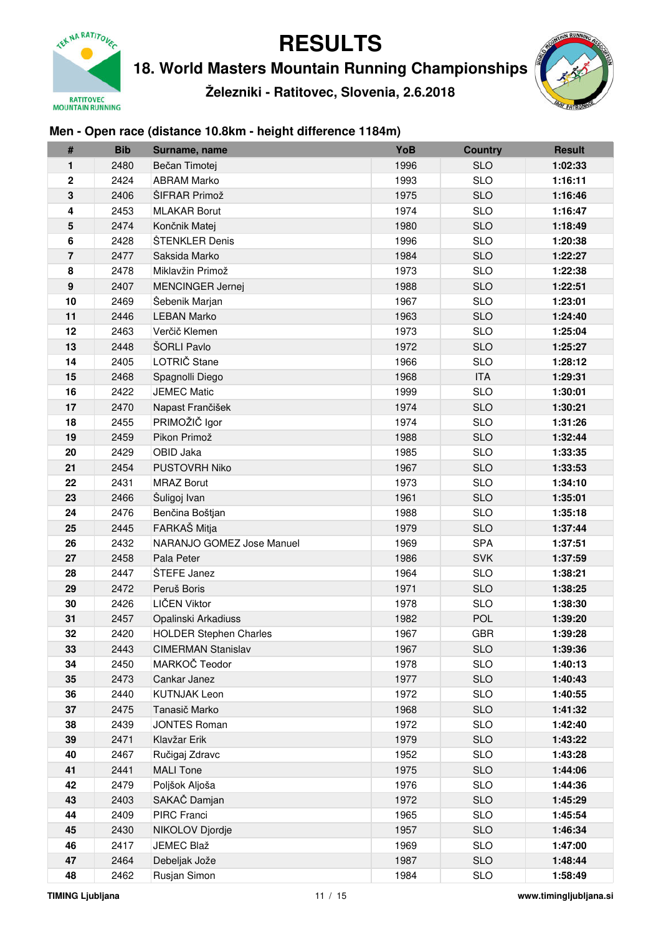

**18. World Masters Mountain Running Championships**

**Železniki - Ratitovec, Slovenia, 2.6.2018**



## **Men - Open race (distance 10.8km - height difference 1184m)**

| #              | <b>Bib</b> | Surname, name                 | YoB  | <b>Country</b> | <b>Result</b> |
|----------------|------------|-------------------------------|------|----------------|---------------|
| 1              | 2480       | Bečan Timotej                 | 1996 | <b>SLO</b>     | 1:02:33       |
| $\mathbf 2$    | 2424       | <b>ABRAM Marko</b>            | 1993 | <b>SLO</b>     | 1:16:11       |
| 3              | 2406       | ŠIFRAR Primož                 | 1975 | <b>SLO</b>     | 1:16:46       |
| 4              | 2453       | <b>MLAKAR Borut</b>           | 1974 | <b>SLO</b>     | 1:16:47       |
| 5              | 2474       | Končnik Matej                 | 1980 | <b>SLO</b>     | 1:18:49       |
| 6              | 2428       | ŠTENKLER Denis                | 1996 | <b>SLO</b>     | 1:20:38       |
| $\overline{7}$ | 2477       | Saksida Marko                 | 1984 | <b>SLO</b>     | 1:22:27       |
| 8              | 2478       | Miklavžin Primož              | 1973 | <b>SLO</b>     | 1:22:38       |
| 9              | 2407       | <b>MENCINGER Jernej</b>       | 1988 | <b>SLO</b>     | 1:22:51       |
| 10             | 2469       | Šebenik Marjan                | 1967 | <b>SLO</b>     | 1:23:01       |
| 11             | 2446       | <b>LEBAN Marko</b>            | 1963 | <b>SLO</b>     | 1:24:40       |
| 12             | 2463       | Verčič Klemen                 | 1973 | <b>SLO</b>     | 1:25:04       |
| 13             | 2448       | ŠORLI Pavlo                   | 1972 | <b>SLO</b>     | 1:25:27       |
| 14             | 2405       | LOTRIČ Stane                  | 1966 | <b>SLO</b>     | 1:28:12       |
| 15             | 2468       | Spagnolli Diego               | 1968 | <b>ITA</b>     | 1:29:31       |
| 16             | 2422       | <b>JEMEC Matic</b>            | 1999 | <b>SLO</b>     | 1:30:01       |
| 17             | 2470       | Napast Frančišek              | 1974 | <b>SLO</b>     | 1:30:21       |
| 18             | 2455       | PRIMOŽIČ Igor                 | 1974 | <b>SLO</b>     | 1:31:26       |
| 19             | 2459       | Pikon Primož                  | 1988 | <b>SLO</b>     | 1:32:44       |
| 20             | 2429       | OBID Jaka                     | 1985 | <b>SLO</b>     | 1:33:35       |
| 21             | 2454       | PUSTOVRH Niko                 | 1967 | <b>SLO</b>     | 1:33:53       |
| 22             | 2431       | <b>MRAZ Borut</b>             | 1973 | <b>SLO</b>     | 1:34:10       |
| 23             | 2466       | Šuligoj Ivan                  | 1961 | <b>SLO</b>     | 1:35:01       |
| 24             | 2476       | Benčina Boštjan               | 1988 | <b>SLO</b>     | 1:35:18       |
| 25             | 2445       | FARKAŠ Mitja                  | 1979 | <b>SLO</b>     | 1:37:44       |
| 26             | 2432       | NARANJO GOMEZ Jose Manuel     | 1969 | <b>SPA</b>     | 1:37:51       |
| 27             | 2458       | Pala Peter                    | 1986 | <b>SVK</b>     | 1:37:59       |
| 28             | 2447       | ŠTEFE Janez                   | 1964 | <b>SLO</b>     | 1:38:21       |
| 29             | 2472       | Peruš Boris                   | 1971 | <b>SLO</b>     | 1:38:25       |
| 30             | 2426       | LIČEN Viktor                  | 1978 | <b>SLO</b>     | 1:38:30       |
| 31             | 2457       | Opalinski Arkadiuss           | 1982 | <b>POL</b>     | 1:39:20       |
| 32             | 2420       | <b>HOLDER Stephen Charles</b> | 1967 | <b>GBR</b>     | 1:39:28       |
| 33             | 2443       | <b>CIMERMAN Stanislav</b>     | 1967 | <b>SLO</b>     | 1:39:36       |
| 34             | 2450       | MARKOČ Teodor                 | 1978 | <b>SLO</b>     | 1:40:13       |
| 35             | 2473       | Cankar Janez                  | 1977 | <b>SLO</b>     | 1:40:43       |
| 36             | 2440       | <b>KUTNJAK Leon</b>           | 1972 | <b>SLO</b>     | 1:40:55       |
| 37             | 2475       | Tanasič Marko                 | 1968 | <b>SLO</b>     | 1:41:32       |
| 38             | 2439       | <b>JONTES Roman</b>           | 1972 | <b>SLO</b>     | 1:42:40       |
| 39             | 2471       | Klavžar Erik                  | 1979 | <b>SLO</b>     | 1:43:22       |
| 40             | 2467       | Ručigaj Zdravc                | 1952 | <b>SLO</b>     | 1:43:28       |
| 41             | 2441       | <b>MALI Tone</b>              | 1975 | <b>SLO</b>     | 1:44:06       |
| 42             | 2479       | Poljšok Aljoša                | 1976 | <b>SLO</b>     | 1:44:36       |
| 43             | 2403       | SAKAČ Damjan                  | 1972 | <b>SLO</b>     | 1:45:29       |
| 44             | 2409       | PIRC Franci                   | 1965 | <b>SLO</b>     | 1:45:54       |
| 45             | 2430       | NIKOLOV Djordje               | 1957 | <b>SLO</b>     | 1:46:34       |
| 46             | 2417       | JEMEC Blaž                    | 1969 | <b>SLO</b>     | 1:47:00       |
| 47             | 2464       | Debeljak Jože                 | 1987 | <b>SLO</b>     | 1:48:44       |
| 48             | 2462       | Rusjan Simon                  | 1984 | <b>SLO</b>     | 1:58:49       |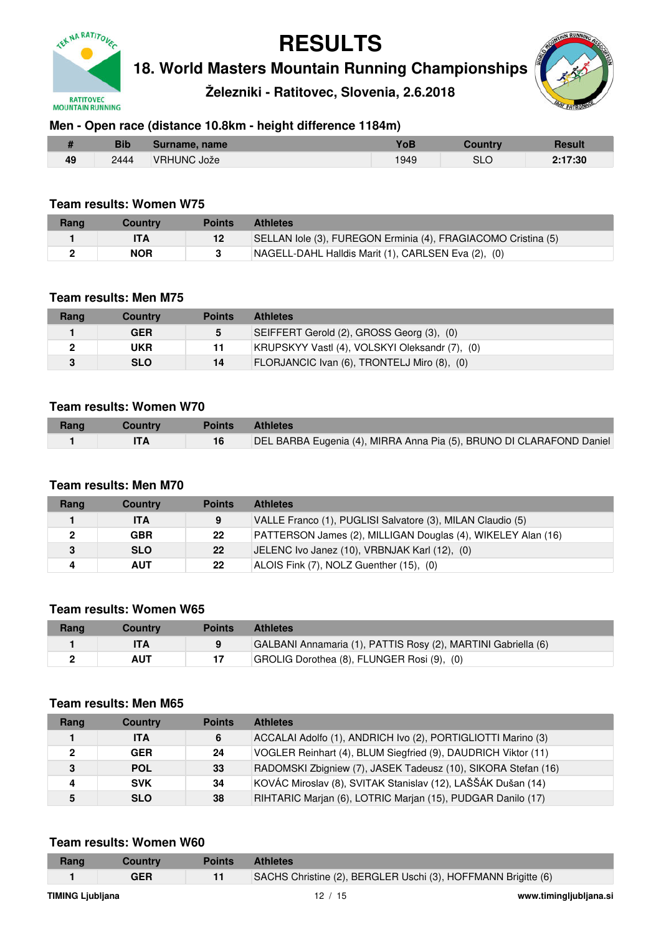

**18. World Masters Mountain Running Championships**

**Železniki - Ratitovec, Slovenia, 2.6.2018**



### **Men - Open race (distance 10.8km - height difference 1184m)**

|    | Bib  | Surname, name | $V$ oB |     | <b>Result</b> |
|----|------|---------------|--------|-----|---------------|
| 49 | 2444 | VRHUNC Jože   | 949    | SLC | 2:17:30       |

### **Team results: Women W75**

| Rang | Countrv | <b>Points</b> | <b>Athletes</b>                                               |
|------|---------|---------------|---------------------------------------------------------------|
|      |         | $12 \,$       | SELLAN lole (3), FUREGON Erminia (4), FRAGIACOMO Cristina (5) |
|      | NOR     |               | NAGELL-DAHL Halldis Marit (1), CARLSEN Eva (2), (0)           |

#### **Team results: Men M75**

| Rang | Country    | Points | <b>Athletes</b>                                |
|------|------------|--------|------------------------------------------------|
|      | GER        | 5      | SEIFFERT Gerold (2), GROSS Georg (3), (0)      |
|      | UKR        | 11     | KRUPSKYY Vastl (4), VOLSKYI Oleksandr (7), (0) |
|      | <b>SLO</b> | 14     | FLORJANCIC Ivan (6), TRONTELJ Miro (8), (0)    |

#### **Team results: Women W70**

| Rang | Country | <b>Points</b> | <b>Athletes</b>                                                      |
|------|---------|---------------|----------------------------------------------------------------------|
|      |         |               | DEL BARBA Eugenia (4), MIRRA Anna Pia (5), BRUNO DI CLARAFOND Daniel |

#### **Team results: Men M70**

| Rang | <b>Country</b> | <b>Points</b> | <b>Athletes</b>                                              |
|------|----------------|---------------|--------------------------------------------------------------|
|      | <b>ITA</b>     | 9             | VALLE Franco (1), PUGLISI Salvatore (3), MILAN Claudio (5)   |
|      | <b>GBR</b>     | 22            | PATTERSON James (2), MILLIGAN Douglas (4), WIKELEY Alan (16) |
|      | <b>SLO</b>     | 22            | JELENC Ivo Janez (10), VRBNJAK Karl (12), (0)                |
| 4    | <b>AUT</b>     | 22            | ALOIS Fink (7), NOLZ Guenther (15), (0)                      |

#### **Team results: Women W65**

| Rang | Countrv    | Points | <b>Athletes</b>                                               |
|------|------------|--------|---------------------------------------------------------------|
|      |            |        | GALBANI Annamaria (1), PATTIS Rosy (2), MARTINI Gabriella (6) |
|      | <b>AUT</b> |        | GROLIG Dorothea (8), FLUNGER Rosi (9), (0)                    |

#### **Team results: Men M65**

| Rang | <b>Country</b> | <b>Points</b> | <b>Athletes</b>                                               |
|------|----------------|---------------|---------------------------------------------------------------|
|      | <b>ITA</b>     | 6             | ACCALAI Adolfo (1), ANDRICH Ivo (2), PORTIGLIOTTI Marino (3)  |
|      | <b>GER</b>     | 24            | VOGLER Reinhart (4), BLUM Siegfried (9), DAUDRICH Viktor (11) |
| 3    | <b>POL</b>     | 33            | RADOMSKI Zbigniew (7), JASEK Tadeusz (10), SIKORA Stefan (16) |
| 4    | <b>SVK</b>     | 34            | KOVÁC Miroslav (8), SVITAK Stanislav (12), LAŠŠÁK Dušan (14)  |
|      | <b>SLO</b>     | 38            | RIHTARIC Marjan (6), LOTRIC Marjan (15), PUDGAR Danilo (17)   |

#### **Team results: Women W60**

| Rang                    | Country | <b>Points</b> | <b>Athletes</b>                                               |                        |
|-------------------------|---------|---------------|---------------------------------------------------------------|------------------------|
|                         | GER     | 11            | SACHS Christine (2), BERGLER Uschi (3), HOFFMANN Brigitte (6) |                        |
| <b>TIMING Liubliana</b> |         |               | 12/15                                                         | www.timingljubljana.si |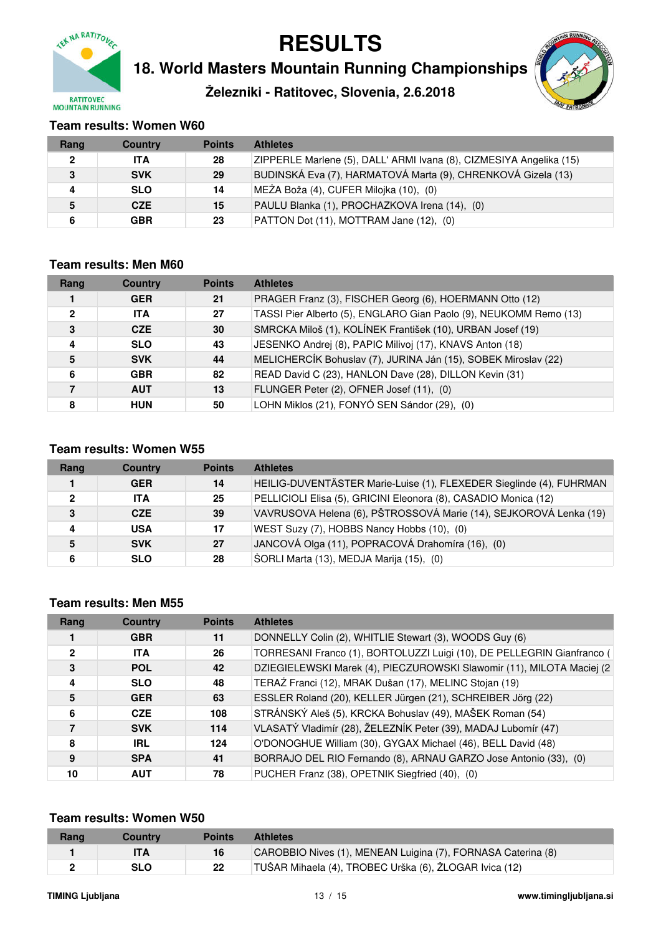

**18. World Masters Mountain Running Championships**

**Železniki - Ratitovec, Slovenia, 2.6.2018**



### **Team results: Women W60**

| Rang         | <b>Country</b> | <b>Points</b> | <b>Athletes</b>                                                     |
|--------------|----------------|---------------|---------------------------------------------------------------------|
| $\mathbf{2}$ | <b>ITA</b>     | 28            | ZIPPERLE Marlene (5), DALL' ARMI Ivana (8), CIZMESIYA Angelika (15) |
| 3            | <b>SVK</b>     | 29            | BUDINSKÁ Eva (7), HARMATOVÁ Marta (9), CHRENKOVÁ Gizela (13)        |
| Δ            | <b>SLO</b>     | 14            | MEŽA Boža (4), CUFER Milojka (10), (0)                              |
| 5            | <b>CZE</b>     | 15            | PAULU Blanka (1), PROCHAZKOVA Irena (14), (0)                       |
|              | <b>GBR</b>     | 23            | PATTON Dot (11), MOTTRAM Jane (12), (0)                             |

#### **Team results: Men M60**

| Rang         | <b>Country</b> | <b>Points</b> | <b>Athletes</b>                                                   |
|--------------|----------------|---------------|-------------------------------------------------------------------|
|              | <b>GER</b>     | 21            | PRAGER Franz (3), FISCHER Georg (6), HOERMANN Otto (12)           |
| $\mathbf{2}$ | <b>ITA</b>     | 27            | TASSI Pier Alberto (5), ENGLARO Gian Paolo (9), NEUKOMM Remo (13) |
| 3            | <b>CZE</b>     | 30            | SMRCKA Miloš (1), KOLÍNEK František (10), URBAN Josef (19)        |
| 4            | <b>SLO</b>     | 43            | JESENKO Andrej (8), PAPIC Milivoj (17), KNAVS Anton (18)          |
| 5            | <b>SVK</b>     | 44            | MELICHERCÍK Bohuslav (7), JURINA Ján (15), SOBEK Miroslav (22)    |
| 6            | <b>GBR</b>     | 82            | READ David C (23), HANLON Dave (28), DILLON Kevin (31)            |
| 7            | <b>AUT</b>     | 13            | FLUNGER Peter (2), OFNER Josef (11), (0)                          |
| 8            | <b>HUN</b>     | 50            | LOHN Miklos (21), FONYÓ SEN Sándor (29), (0)                      |

#### **Team results: Women W55**

| Rang         | <b>Country</b> | <b>Points</b> | <b>Athletes</b>                                                     |
|--------------|----------------|---------------|---------------------------------------------------------------------|
|              | <b>GER</b>     | 14            | HEILIG-DUVENTÄSTER Marie-Luise (1), FLEXEDER Sieglinde (4), FUHRMAN |
| $\mathbf{2}$ | <b>ITA</b>     | 25            | PELLICIOLI Elisa (5), GRICINI Eleonora (8), CASADIO Monica (12)     |
| 3            | <b>CZE</b>     | 39            | VAVRUSOVA Helena (6), PŠTROSSOVÁ Marie (14), SEJKOROVÁ Lenka (19)   |
| Δ            | <b>USA</b>     | 17            | WEST Suzy (7), HOBBS Nancy Hobbs (10), (0)                          |
| 5            | <b>SVK</b>     | 27            | JANCOVÁ Olga (11), POPRACOVÁ Drahomíra (16), (0)                    |
| 6            | <b>SLO</b>     | 28            | ŠORLI Marta (13), MEDJA Marija (15), (0)                            |

#### **Team results: Men M55**

| Rang         | <b>Country</b> | <b>Points</b> | <b>Athletes</b>                                                        |
|--------------|----------------|---------------|------------------------------------------------------------------------|
|              | <b>GBR</b>     | 11            | DONNELLY Colin (2), WHITLIE Stewart (3), WOODS Guy (6)                 |
| $\mathbf{2}$ | <b>ITA</b>     | 26            | TORRESANI Franco (1), BORTOLUZZI Luigi (10), DE PELLEGRIN Gianfranco ( |
| 3            | <b>POL</b>     | 42            | DZIEGIELEWSKI Marek (4), PIECZUROWSKI Slawomir (11), MILOTA Maciej (2  |
| 4            | <b>SLO</b>     | 48            | TERAŽ Franci (12), MRAK Dušan (17), MELINC Stojan (19)                 |
| 5            | <b>GER</b>     | 63            | ESSLER Roland (20), KELLER Jürgen (21), SCHREIBER Jörg (22)            |
| 6            | <b>CZE</b>     | 108           | STRÁNSKÝ Aleš (5), KRCKA Bohuslav (49), MAŠEK Roman (54)               |
|              | <b>SVK</b>     | 114           | VLASATÝ Vladimír (28), ŽELEZNÍK Peter (39), MADAJ Lubomír (47)         |
| 8            | <b>IRL</b>     | 124           | O'DONOGHUE William (30), GYGAX Michael (46), BELL David (48)           |
| 9            | <b>SPA</b>     | 41            | BORRAJO DEL RIO Fernando (8), ARNAU GARZO Jose Antonio (33), (0)       |
| 10           | <b>AUT</b>     | 78            | PUCHER Franz (38), OPETNIK Siegfried (40), (0)                         |

#### **Team results: Women W50**

| Rang | <b>Country</b> | <b>Points</b> | <b>Athletes</b>                                              |
|------|----------------|---------------|--------------------------------------------------------------|
|      |                | 16            | CAROBBIO Nives (1), MENEAN Luigina (7), FORNASA Caterina (8) |
| -    | SLO            | 22            | TUŠAR Mihaela (4), TROBEC Urška (6), ŽLOGAR Ivica (12)       |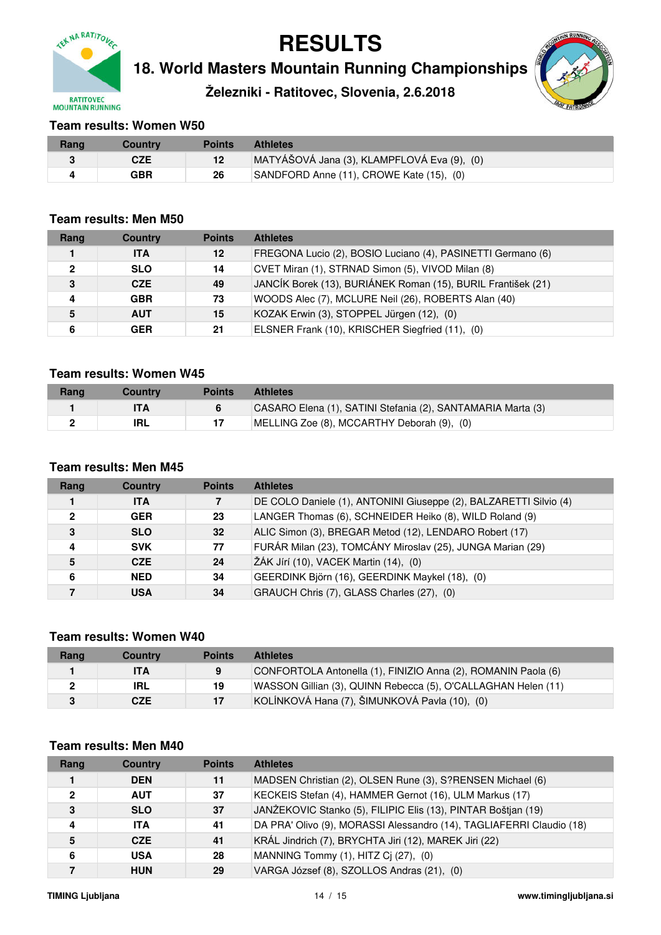

**18. World Masters Mountain Running Championships**

**Železniki - Ratitovec, Slovenia, 2.6.2018**



#### **Team results: Women W50**

| Rang | Country    | Points | <b>Athletes</b>                             |
|------|------------|--------|---------------------------------------------|
|      | <b>CZE</b> | 12     | MATYÁŠOVÁ Jana (3), KLAMPFLOVÁ Eva (9), (0) |
|      | GBR        | 26     | SANDFORD Anne (11), CROWE Kate (15), (0)    |

#### **Team results: Men M50**

| Rang         | <b>Country</b> | <b>Points</b> | <b>Athletes</b>                                              |
|--------------|----------------|---------------|--------------------------------------------------------------|
|              | <b>ITA</b>     | 12            | FREGONA Lucio (2), BOSIO Luciano (4), PASINETTI Germano (6)  |
| $\mathbf{2}$ | <b>SLO</b>     | 14            | CVET Miran (1), STRNAD Simon (5), VIVOD Milan (8)            |
| 3            | <b>CZE</b>     | 49            | JANCÍK Borek (13), BURIÁNEK Roman (15), BURIL František (21) |
| 4            | <b>GBR</b>     | 73            | WOODS Alec (7), MCLURE Neil (26), ROBERTS Alan (40)          |
| 5            | <b>AUT</b>     | 15            | KOZAK Erwin (3), STOPPEL Jürgen (12), (0)                    |
| 6            | <b>GER</b>     | 21            | ELSNER Frank (10), KRISCHER Siegfried (11), (0)              |

### **Team results: Women W45**

| Rang | Countrv | <b>Points</b> | <b>Athletes</b>                                             |
|------|---------|---------------|-------------------------------------------------------------|
|      |         |               | CASARO Elena (1), SATINI Stefania (2), SANTAMARIA Marta (3) |
|      | IRL     |               | MELLING Zoe (8), MCCARTHY Deborah (9), (0)                  |

### **Team results: Men M45**

| Rang         | <b>Country</b> | <b>Points</b> | <b>Athletes</b>                                                   |
|--------------|----------------|---------------|-------------------------------------------------------------------|
|              | <b>ITA</b>     | 7             | DE COLO Daniele (1), ANTONINI Giuseppe (2), BALZARETTI Silvio (4) |
| $\mathbf{2}$ | <b>GER</b>     | 23            | LANGER Thomas (6), SCHNEIDER Heiko (8), WILD Roland (9)           |
| 3            | <b>SLO</b>     | 32            | ALIC Simon (3), BREGAR Metod (12), LENDARO Robert (17)            |
| 4            | <b>SVK</b>     | 77            | FURÁR Milan (23), TOMCÁNY Miroslav (25), JUNGA Marian (29)        |
| 5            | <b>CZE</b>     | 24            | ŽÁK Jírí (10), VACEK Martin (14), (0)                             |
| 6            | <b>NED</b>     | 34            | GEERDINK Björn (16), GEERDINK Maykel (18), (0)                    |
|              | <b>USA</b>     | 34            | GRAUCH Chris (7), GLASS Charles (27), (0)                         |

#### **Team results: Women W40**

| Rang | Country    | <b>Points</b> | <b>Athletes</b>                                               |
|------|------------|---------------|---------------------------------------------------------------|
|      | <b>ITA</b> | 9             | CONFORTOLA Antonella (1), FINIZIO Anna (2), ROMANIN Paola (6) |
|      | IRL        | 19            | WASSON Gillian (3), QUINN Rebecca (5), O'CALLAGHAN Helen (11) |
|      | <b>CZE</b> | 17            | KOLÍNKOVÁ Hana (7), ŠIMUNKOVÁ Pavla (10), (0)                 |

#### **Team results: Men M40**

| Rang | <b>Country</b> | <b>Points</b> | <b>Athletes</b>                                                      |
|------|----------------|---------------|----------------------------------------------------------------------|
|      | <b>DEN</b>     | 11            | MADSEN Christian (2), OLSEN Rune (3), S?RENSEN Michael (6)           |
| 2    | <b>AUT</b>     | 37            | KECKEIS Stefan (4), HAMMER Gernot (16), ULM Markus (17)              |
| 3    | <b>SLO</b>     | 37            | JANŽEKOVIC Stanko (5), FILIPIC Elis (13), PINTAR Boštjan (19)        |
| 4    | <b>ITA</b>     | 41            | DA PRA' Olivo (9), MORASSI Alessandro (14), TAGLIAFERRI Claudio (18) |
| 5    | <b>CZE</b>     | 41            | KRÁL Jindrich (7), BRYCHTA Jiri (12), MAREK Jiri (22)                |
| 6    | <b>USA</b>     | 28            | MANNING Tommy (1), HITZ Cj (27), (0)                                 |
|      | <b>HUN</b>     | 29            | VARGA József (8), SZOLLOS Andras (21), (0)                           |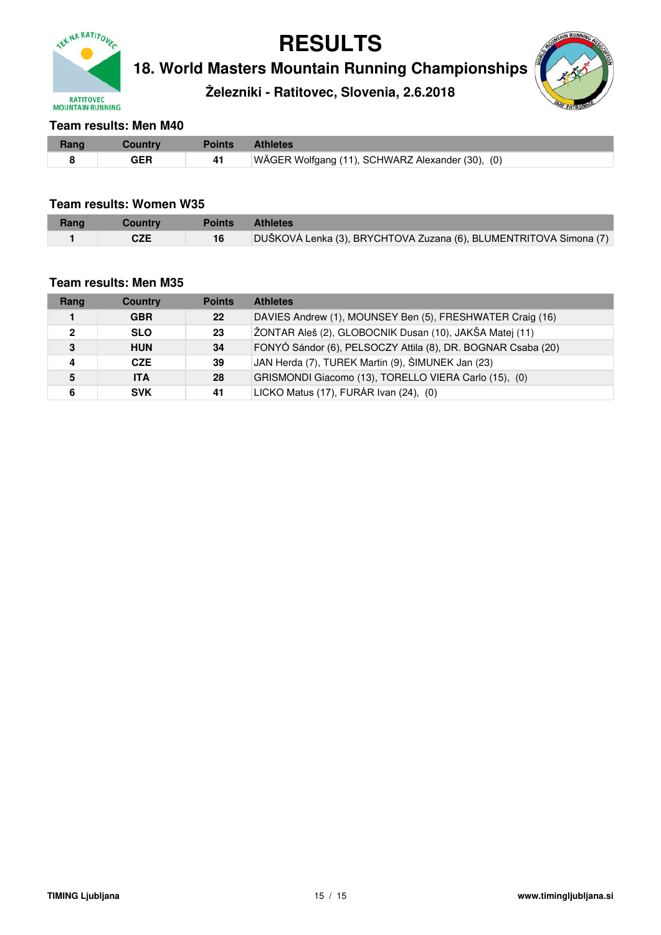

**18. World Masters Mountain Running Championships**

**Železniki - Ratitovec, Slovenia, 2.6.2018**



#### **Team results: Men M40**

| Rang | Countrv    | <b>Points</b> | <b>Athletes</b>                                  |
|------|------------|---------------|--------------------------------------------------|
|      | <b>GER</b> | 41            | WÄGER Wolfgang (11), SCHWARZ Alexander (30), (0) |

#### **Team results: Women W35**

| Rang | Country    | <b>Points</b> | <b>Athletes</b>                                                   |
|------|------------|---------------|-------------------------------------------------------------------|
|      | <b>CZE</b> | 16            | DUŠKOVÁ Lenka (3), BRYCHTOVA Zuzana (6), BLUMENTRITOVA Simona (7) |

#### **Team results: Men M35**

| Rang | <b>Country</b> | <b>Points</b> | <b>Athletes</b>                                              |
|------|----------------|---------------|--------------------------------------------------------------|
|      | <b>GBR</b>     | 22            | DAVIES Andrew (1), MOUNSEY Ben (5), FRESHWATER Craig (16)    |
| 2    | <b>SLO</b>     | 23            | ŽONTAR Aleš (2), GLOBOCNIK Dusan (10), JAKŠA Matej (11)      |
| 3    | <b>HUN</b>     | 34            | FONYÓ Sándor (6), PELSOCZY Attila (8), DR. BOGNAR Csaba (20) |
| 4    | <b>CZE</b>     | 39            | JAN Herda (7), TUREK Martin (9), ŠIMUNEK Jan (23)            |
| 5    | <b>ITA</b>     | 28            | GRISMONDI Giacomo (13), TORELLO VIERA Carlo (15), (0)        |
|      | <b>SVK</b>     | 41            | LICKO Matus (17), FURÁR Ivan (24), (0)                       |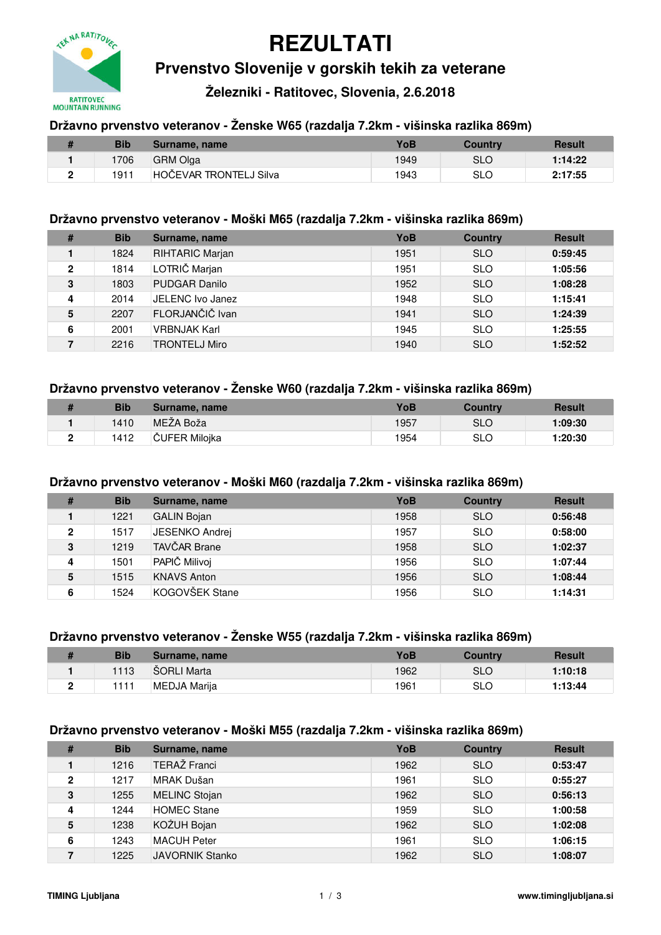

# **REZULTATI**

## **Prvenstvo Slovenije v gorskih tekih za veterane**

**Železniki - Ratitovec, Slovenia, 2.6.2018**

#### **Državno prvenstvo veteranov - Ženske W65 (razdalja 7.2km - višinska razlika 869m)**

| <b>Bib</b> | Surname, name          | YoB  | <b>Country</b> | <b>Result</b> |
|------------|------------------------|------|----------------|---------------|
| 1706       | <b>GRM Olga</b>        | 1949 | SLO            | 1:14:22       |
| 1911       | HOČEVAR TRONTELJ Silva | 1943 | <b>SLO</b>     | 2:17:55       |

#### **Državno prvenstvo veteranov - Moški M65 (razdalja 7.2km - višinska razlika 869m)**

| #            | <b>Bib</b> | Surname, name          | YoB  | <b>Country</b> | <b>Result</b> |
|--------------|------------|------------------------|------|----------------|---------------|
|              | 1824       | <b>RIHTARIC Marjan</b> | 1951 | <b>SLO</b>     | 0:59:45       |
| $\mathbf{2}$ | 1814       | LOTRIČ Marjan          | 1951 | <b>SLO</b>     | 1:05:56       |
| 3            | 1803       | <b>PUDGAR Danilo</b>   | 1952 | <b>SLO</b>     | 1:08:28       |
| 4            | 2014       | JELENC Ivo Janez       | 1948 | <b>SLO</b>     | 1:15:41       |
| 5            | 2207       | FLORJANČIČ Ivan        | 1941 | <b>SLO</b>     | 1:24:39       |
| 6            | 2001       | <b>VRBNJAK Karl</b>    | 1945 | <b>SLO</b>     | 1:25:55       |
|              | 2216       | <b>TRONTELJ Miro</b>   | 1940 | <b>SLO</b>     | 1:52:52       |

#### **Državno prvenstvo veteranov - Ženske W60 (razdalja 7.2km - višinska razlika 869m)**

| <b>Bib</b> | Surname, name  | YoB  | Country | Result  |
|------------|----------------|------|---------|---------|
| 1410       | MEŻA Boža      | 1957 | SLO     | 1:09:30 |
| 1412       | ∣ČUFER Miloika | 1954 | SLO     | 1:20:30 |

#### **Državno prvenstvo veteranov - Moški M60 (razdalja 7.2km - višinska razlika 869m)**

| # | <b>Bib</b> | Surname, name       | YoB  | <b>Country</b> | <b>Result</b> |
|---|------------|---------------------|------|----------------|---------------|
|   | 1221       | <b>GALIN Bojan</b>  | 1958 | <b>SLO</b>     | 0:56:48       |
| 2 | 1517       | JESENKO Andrej      | 1957 | <b>SLO</b>     | 0:58:00       |
| 3 | 1219       | <b>TAVČAR Brane</b> | 1958 | <b>SLO</b>     | 1:02:37       |
| 4 | 1501       | PAPIČ Milivoj       | 1956 | <b>SLO</b>     | 1:07:44       |
| 5 | 1515       | <b>KNAVS Anton</b>  | 1956 | <b>SLO</b>     | 1:08:44       |
| 6 | 1524       | KOGOVŠEK Stane      | 1956 | <b>SLO</b>     | 1:14:31       |

#### **Državno prvenstvo veteranov - Ženske W55 (razdalja 7.2km - višinska razlika 869m)**

|   | <b>Bib</b> | Surname, name | YoB  | Country | <b>Result</b> |
|---|------------|---------------|------|---------|---------------|
|   | 1113       | SORLI Marta   | 1962 | SLO     | 1:10:18       |
| - | 111        | MEDJA Marija  | 1961 | SLO     | 1:13:44       |

#### **Državno prvenstvo veteranov - Moški M55 (razdalja 7.2km - višinska razlika 869m)**

| #            | <b>Bib</b> | Surname, name          | YoB  | <b>Country</b> | <b>Result</b> |
|--------------|------------|------------------------|------|----------------|---------------|
|              | 1216       | TERAŽ Franci           | 1962 | <b>SLO</b>     | 0:53:47       |
| $\mathbf{2}$ | 1217       | MRAK Dušan             | 1961 | <b>SLO</b>     | 0:55:27       |
| 3            | 1255       | <b>MELINC Stojan</b>   | 1962 | <b>SLO</b>     | 0:56:13       |
| 4            | 1244       | <b>HOMEC Stane</b>     | 1959 | <b>SLO</b>     | 1:00:58       |
| 5            | 1238       | KOŽUH Bojan            | 1962 | <b>SLO</b>     | 1:02:08       |
| 6            | 1243       | <b>MACUH Peter</b>     | 1961 | <b>SLO</b>     | 1:06:15       |
| 7            | 1225       | <b>JAVORNIK Stanko</b> | 1962 | <b>SLO</b>     | 1:08:07       |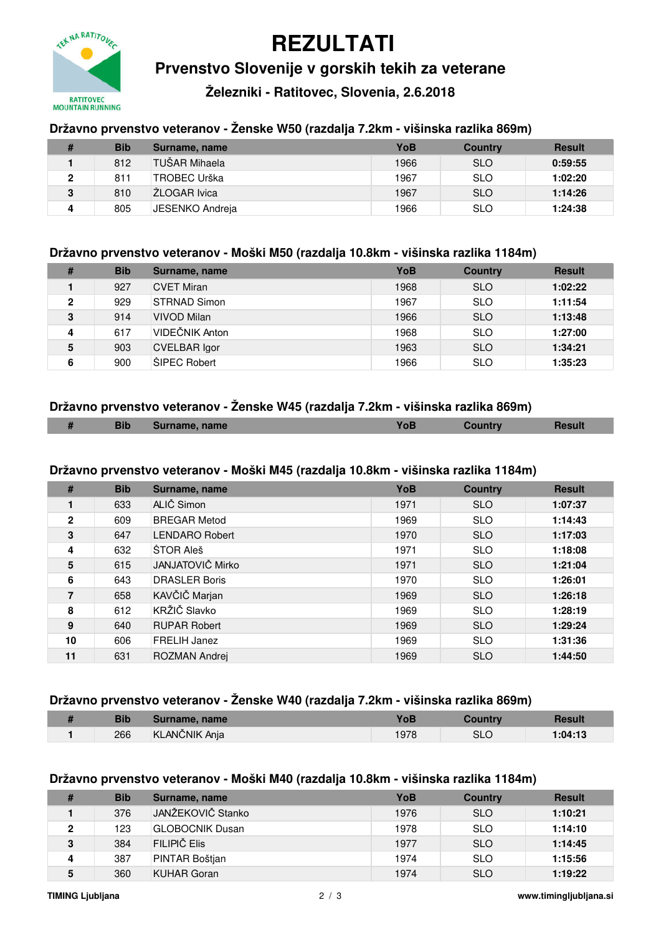

## **REZULTATI**

**Prvenstvo Slovenije v gorskih tekih za veterane**

**Železniki - Ratitovec, Slovenia, 2.6.2018**

### **Državno prvenstvo veteranov - Ženske W50 (razdalja 7.2km - višinska razlika 869m)**

|   | <b>Bib</b> | Surname, name   | YoB  | Country    | <b>Result</b> |
|---|------------|-----------------|------|------------|---------------|
|   | 812        | TUŠAR Mihaela   | 1966 | <b>SLO</b> | 0:59:55       |
|   | 811        | TROBEC Urška    | 1967 | <b>SLO</b> | 1:02:20       |
| 3 | 810        | ŽLOGAR Ivica    | 1967 | <b>SLO</b> | 1:14:26       |
| Δ | 805        | JESENKO Andreia | 1966 | <b>SLO</b> | 1:24:38       |

#### **Državno prvenstvo veteranov - Moški M50 (razdalja 10.8km - višinska razlika 1184m)**

| # | <b>Bib</b> | Surname, name       | YoB  | <b>Country</b> | <b>Result</b> |
|---|------------|---------------------|------|----------------|---------------|
|   | 927        | <b>CVET Miran</b>   | 1968 | <b>SLO</b>     | 1:02:22       |
| 2 | 929        | STRNAD Simon        | 1967 | <b>SLO</b>     | 1:11:54       |
| 3 | 914        | VIVOD Milan         | 1966 | <b>SLO</b>     | 1:13:48       |
| 4 | 617        | VIDEČNIK Anton      | 1968 | <b>SLO</b>     | 1:27:00       |
| 5 | 903        | CVELBAR Igor        | 1963 | <b>SLO</b>     | 1:34:21       |
| 6 | 900        | <b>SIPEC Robert</b> | 1966 | <b>SLO</b>     | 1:35:23       |

#### **Državno prvenstvo veteranov - Ženske W45 (razdalja 7.2km - višinska razlika 869m)**

| . . | <b>Bib</b> | ne, name<br>Surnan |  |  |
|-----|------------|--------------------|--|--|
|     |            |                    |  |  |

#### **Državno prvenstvo veteranov - Moški M45 (razdalja 10.8km - višinska razlika 1184m)**

| #            | <b>Bib</b> | Surname, name         | YoB  | <b>Country</b> | <b>Result</b> |
|--------------|------------|-----------------------|------|----------------|---------------|
|              | 633        | ALIČ Simon            | 1971 | <b>SLO</b>     | 1:07:37       |
| $\mathbf{2}$ | 609        | <b>BREGAR Metod</b>   | 1969 | <b>SLO</b>     | 1:14:43       |
| 3            | 647        | <b>LENDARO Robert</b> | 1970 | <b>SLO</b>     | 1:17:03       |
| 4            | 632        | <b>STOR Ales</b>      | 1971 | <b>SLO</b>     | 1:18:08       |
| 5            | 615        | JANJATOVIČ Mirko      | 1971 | <b>SLO</b>     | 1:21:04       |
| 6            | 643        | <b>DRASLER Boris</b>  | 1970 | <b>SLO</b>     | 1:26:01       |
| 7            | 658        | KAVČIČ Marjan         | 1969 | <b>SLO</b>     | 1:26:18       |
| 8            | 612        | KRŽIČ Slavko          | 1969 | <b>SLO</b>     | 1:28:19       |
| 9            | 640        | <b>RUPAR Robert</b>   | 1969 | <b>SLO</b>     | 1:29:24       |
| 10           | 606        | FRELIH Janez          | 1969 | <b>SLO</b>     | 1:31:36       |
| 11           | 631        | ROZMAN Andrej         | 1969 | <b>SLO</b>     | 1:44:50       |

#### **Državno prvenstvo veteranov - Ženske W40 (razdalja 7.2km - višinska razlika 869m)**

| ш | Bib | Surname, name | YoB  | Country | Resul   |
|---|-----|---------------|------|---------|---------|
|   | 266 | KLANČNIK Anja | 1978 | SLC     | 1:04:13 |

#### **Državno prvenstvo veteranov - Moški M40 (razdalja 10.8km - višinska razlika 1184m)**

| # | <b>Bib</b> | Surname, name      | YoB  | <b>Country</b> | <b>Result</b> |
|---|------------|--------------------|------|----------------|---------------|
|   | 376        | JANŽEKOVIČ Stanko  | 1976 | <b>SLO</b>     | 1:10:21       |
| 2 | 123        | GLOBOCNIK Dusan    | 1978 | <b>SLO</b>     | 1:14:10       |
| 3 | 384        | FII IPIČ FIIS      | 1977 | <b>SLO</b>     | 1:14:45       |
|   | 387        | PINTAR Boštian     | 1974 | <b>SLO</b>     | 1:15:56       |
| 5 | 360        | <b>KUHAR Goran</b> | 1974 | <b>SLO</b>     | 1:19:22       |